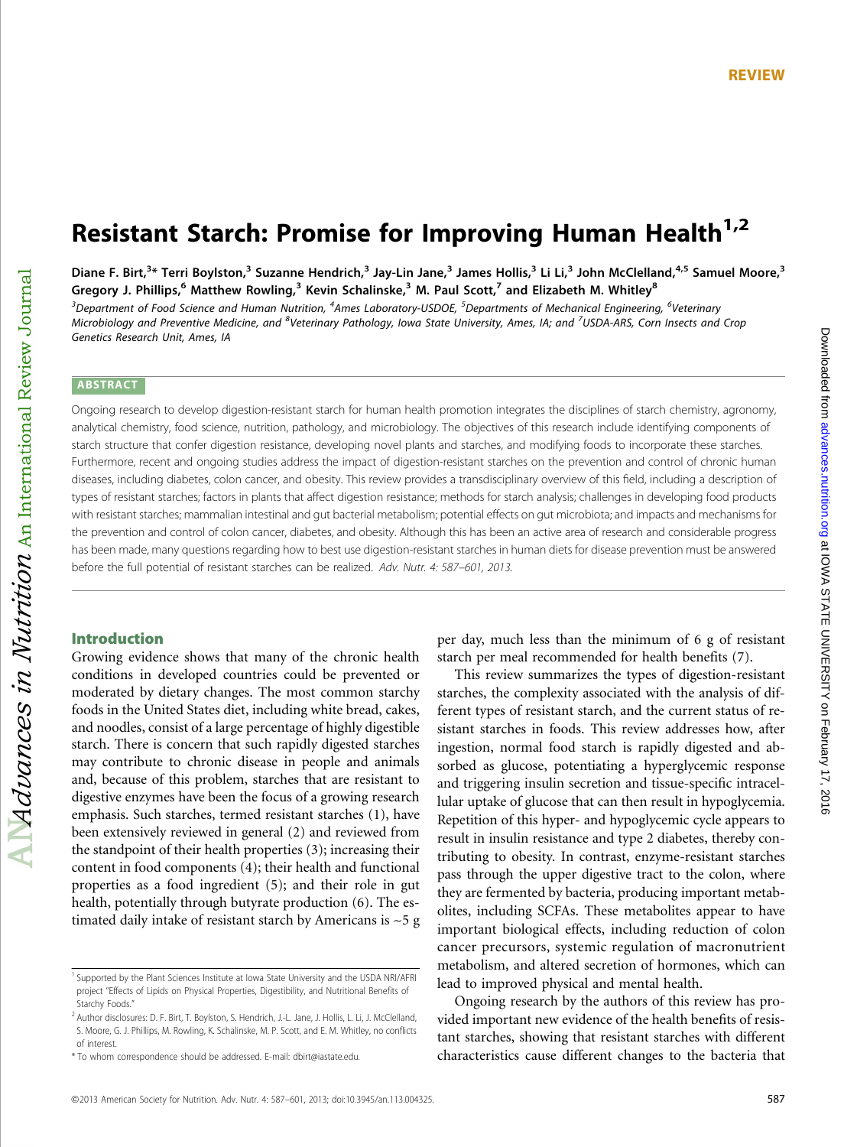# Resistant Starch: Promise for Improving Human Health<sup>1,2</sup>

Diane F. Birt,<sup>3</sup>\* Terri Boylston,<sup>3</sup> Suzanne Hendrich,<sup>3</sup> Jay-Lin Jane,<sup>3</sup> James Hollis,<sup>3</sup> Li Li,<sup>3</sup> John McClelland,<sup>4,5</sup> Samuel Moore,<sup>3</sup> Gregory J. Phillips,<sup>6</sup> Matthew Rowling,<sup>3</sup> Kevin Schalinske,<sup>3</sup> M. Paul Scott,<sup>7</sup> and Elizabeth M. Whitley<sup>8</sup>

 $^3$ Department of Food Science and Human Nutrition,  $^4$ Ames Laboratory-USDOE,  $^5$ Departments of Mechanical Engineering,  $^6$ Veterinary Microbiology and Preventive Medicine, and <sup>8</sup>Veterinary Pathology, Iowa State University, Ames, IA; and <sup>7</sup>USDA-ARS, Corn Insects and Crop Genetics Research Unit, Ames, IA

#### ABSTRACT

Ongoing research to develop digestion-resistant starch for human health promotion integrates the disciplines of starch chemistry, agronomy, analytical chemistry, food science, nutrition, pathology, and microbiology. The objectives of this research include identifying components of starch structure that confer digestion resistance, developing novel plants and starches, and modifying foods to incorporate these starches. Furthermore, recent and ongoing studies address the impact of digestion-resistant starches on the prevention and control of chronic human diseases, including diabetes, colon cancer, and obesity. This review provides a transdisciplinary overview of this field, including a description of types of resistant starches; factors in plants that affect digestion resistance; methods for starch analysis; challenges in developing food products with resistant starches; mammalian intestinal and gut bacterial metabolism; potential effects on gut microbiota; and impacts and mechanisms for the prevention and control of colon cancer, diabetes, and obesity. Although this has been an active area of research and considerable progress has been made, many questions regarding how to best use digestion-resistant starches in human diets for disease prevention must be answered before the full potential of resistant starches can be realized. Adv. Nutr. 4: 587–601, 2013.

## Introduction

Growing evidence shows that many of the chronic health conditions in developed countries could be prevented or moderated by dietary changes. The most common starchy foods in the United States diet, including white bread, cakes, and noodles, consist of a large percentage of highly digestible starch. There is concern that such rapidly digested starches may contribute to chronic disease in people and animals and, because of this problem, starches that are resistant to digestive enzymes have been the focus of a growing research emphasis. Such starches, termed resistant starches (1), have been extensively reviewed in general (2) and reviewed from the standpoint of their health properties (3); increasing their content in food components (4); their health and functional properties as a food ingredient (5); and their role in gut health, potentially through butyrate production (6). The estimated daily intake of resistant starch by Americans is  $\sim$  5 g per day, much less than the minimum of 6 g of resistant starch per meal recommended for health benefits (7).

This review summarizes the types of digestion-resistant starches, the complexity associated with the analysis of different types of resistant starch, and the current status of resistant starches in foods. This review addresses how, after ingestion, normal food starch is rapidly digested and absorbed as glucose, potentiating a hyperglycemic response and triggering insulin secretion and tissue-specific intracellular uptake of glucose that can then result in hypoglycemia. Repetition of this hyper- and hypoglycemic cycle appears to result in insulin resistance and type 2 diabetes, thereby contributing to obesity. In contrast, enzyme-resistant starches pass through the upper digestive tract to the colon, where they are fermented by bacteria, producing important metabolites, including SCFAs. These metabolites appear to have important biological effects, including reduction of colon cancer precursors, systemic regulation of macronutrient metabolism, and altered secretion of hormones, which can lead to improved physical and mental health.

Ongoing research by the authors of this review has provided important new evidence of the health benefits of resistant starches, showing that resistant starches with different characteristics cause different changes to the bacteria that

<sup>&</sup>lt;sup>1</sup> Supported by the Plant Sciences Institute at Iowa State University and the USDA NRI/AFRI project "Effects of Lipids on Physical Properties, Digestibility, and Nutritional Benefits of Starchy Foods."

<sup>&</sup>lt;sup>2</sup> Author disclosures: D. F. Birt, T. Boylston, S. Hendrich, J.-L. Jane, J. Hollis, L. Li, J. McClelland, S. Moore, G. J. Phillips, M. Rowling, K. Schalinske, M. P. Scott, and E. M. Whitley, no conflicts of interest.

<sup>\*</sup> To whom correspondence should be addressed. E-mail: dbirt@iastate.edu.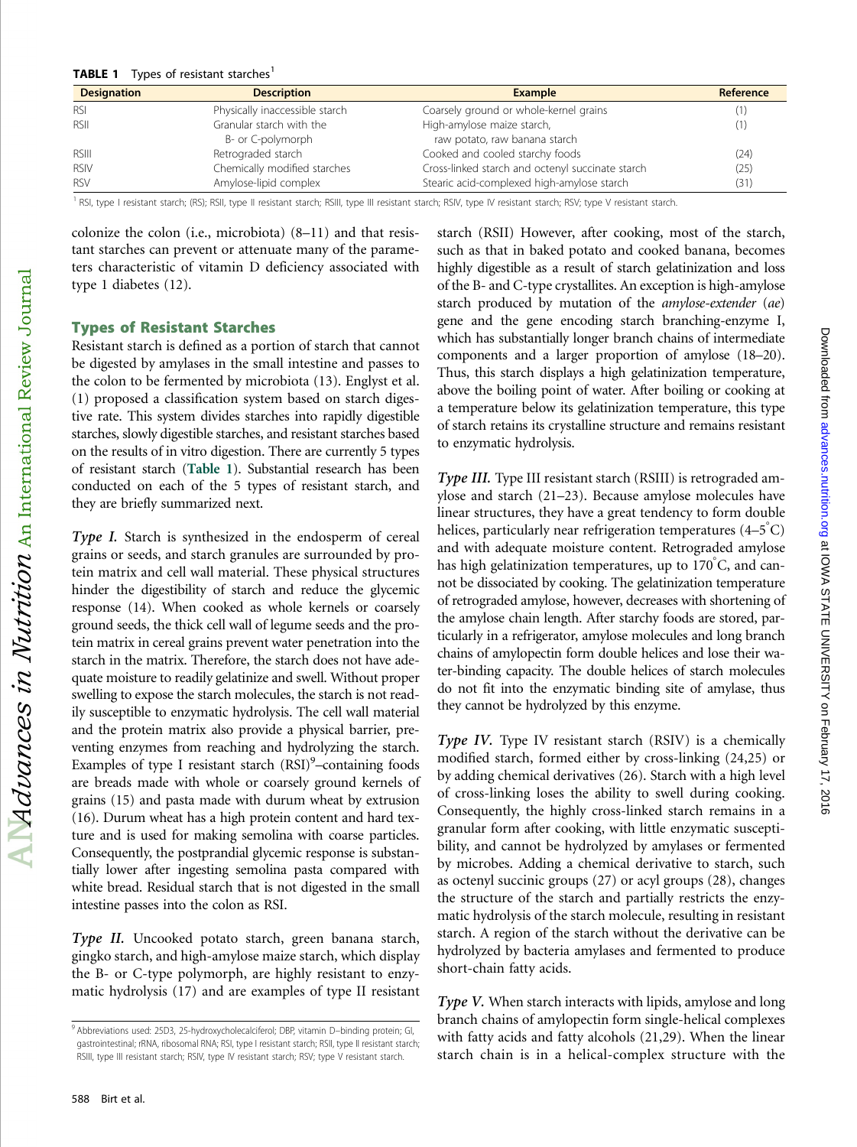#### **TABLE 1** Types of resistant starches<sup>1</sup>

| <b>Designation</b> | <b>Description</b>             | <b>Example</b>                                   | Reference |
|--------------------|--------------------------------|--------------------------------------------------|-----------|
| <b>RSI</b>         | Physically inaccessible starch | Coarsely ground or whole-kernel grains           |           |
| RSII               | Granular starch with the       | High-amylose maize starch,                       |           |
|                    | B- or C-polymorph              | raw potato, raw banana starch                    |           |
| <b>RSIII</b>       | Retrograded starch             | Cooked and cooled starchy foods                  | (24)      |
| <b>RSIV</b>        | Chemically modified starches   | Cross-linked starch and octenyl succinate starch | (25)      |
| <b>RSV</b>         | Amylose-lipid complex          | Stearic acid-complexed high-amylose starch       | (31)      |

<sup>1</sup> RSI, type I resistant starch; (RS); RSII, type II resistant starch; RSIII, type III resistant starch; RSIV, type IV resistant starch; RSV; type V resistant starch.

colonize the colon (i.e., microbiota) (8–11) and that resistant starches can prevent or attenuate many of the parameters characteristic of vitamin D deficiency associated with type 1 diabetes (12).

#### Types of Resistant Starches

Resistant starch is defined as a portion of starch that cannot be digested by amylases in the small intestine and passes to the colon to be fermented by microbiota (13). Englyst et al. (1) proposed a classification system based on starch digestive rate. This system divides starches into rapidly digestible starches, slowly digestible starches, and resistant starches based on the results of in vitro digestion. There are currently 5 types of resistant starch (Table 1). Substantial research has been conducted on each of the 5 types of resistant starch, and they are briefly summarized next.

Type I. Starch is synthesized in the endosperm of cereal grains or seeds, and starch granules are surrounded by protein matrix and cell wall material. These physical structures hinder the digestibility of starch and reduce the glycemic response (14). When cooked as whole kernels or coarsely ground seeds, the thick cell wall of legume seeds and the protein matrix in cereal grains prevent water penetration into the starch in the matrix. Therefore, the starch does not have adequate moisture to readily gelatinize and swell. Without proper swelling to expose the starch molecules, the starch is not readily susceptible to enzymatic hydrolysis. The cell wall material and the protein matrix also provide a physical barrier, preventing enzymes from reaching and hydrolyzing the starch. Examples of type I resistant starch (RSI)<sup>9</sup>-containing foods are breads made with whole or coarsely ground kernels of grains (15) and pasta made with durum wheat by extrusion (16). Durum wheat has a high protein content and hard texture and is used for making semolina with coarse particles. Consequently, the postprandial glycemic response is substantially lower after ingesting semolina pasta compared with white bread. Residual starch that is not digested in the small intestine passes into the colon as RSI.

Type II. Uncooked potato starch, green banana starch, gingko starch, and high-amylose maize starch, which display the B- or C-type polymorph, are highly resistant to enzymatic hydrolysis (17) and are examples of type II resistant starch (RSII) However, after cooking, most of the starch, such as that in baked potato and cooked banana, becomes highly digestible as a result of starch gelatinization and loss of the B- and C-type crystallites. An exception is high-amylose starch produced by mutation of the amylose-extender (ae) gene and the gene encoding starch branching-enzyme I, which has substantially longer branch chains of intermediate components and a larger proportion of amylose (18–20). Thus, this starch displays a high gelatinization temperature, above the boiling point of water. After boiling or cooking at a temperature below its gelatinization temperature, this type of starch retains its crystalline structure and remains resistant to enzymatic hydrolysis.

Type III. Type III resistant starch (RSIII) is retrograded amylose and starch (21–23). Because amylose molecules have linear structures, they have a great tendency to form double helices, particularly near refrigeration temperatures  $(4-5\degree C)$ and with adequate moisture content. Retrograded amylose has high gelatinization temperatures, up to 170°C, and cannot be dissociated by cooking. The gelatinization temperature of retrograded amylose, however, decreases with shortening of the amylose chain length. After starchy foods are stored, particularly in a refrigerator, amylose molecules and long branch chains of amylopectin form double helices and lose their water-binding capacity. The double helices of starch molecules do not fit into the enzymatic binding site of amylase, thus they cannot be hydrolyzed by this enzyme.

Type IV. Type IV resistant starch (RSIV) is a chemically modified starch, formed either by cross-linking (24,25) or by adding chemical derivatives (26). Starch with a high level of cross-linking loses the ability to swell during cooking. Consequently, the highly cross-linked starch remains in a granular form after cooking, with little enzymatic susceptibility, and cannot be hydrolyzed by amylases or fermented by microbes. Adding a chemical derivative to starch, such as octenyl succinic groups (27) or acyl groups (28), changes the structure of the starch and partially restricts the enzymatic hydrolysis of the starch molecule, resulting in resistant starch. A region of the starch without the derivative can be hydrolyzed by bacteria amylases and fermented to produce short-chain fatty acids.

Type V. When starch interacts with lipids, amylose and long branch chains of amylopectin form single-helical complexes with fatty acids and fatty alcohols (21,29). When the linear starch chain is in a helical-complex structure with the

<sup>9</sup> Abbreviations used: 25D3, 25-hydroxycholecalciferol; DBP, vitamin D–binding protein; GI, gastrointestinal; rRNA, ribosomal RNA; RSI, type I resistant starch; RSII, type II resistant starch; RSIII, type III resistant starch; RSIV, type IV resistant starch; RSV; type V resistant starch.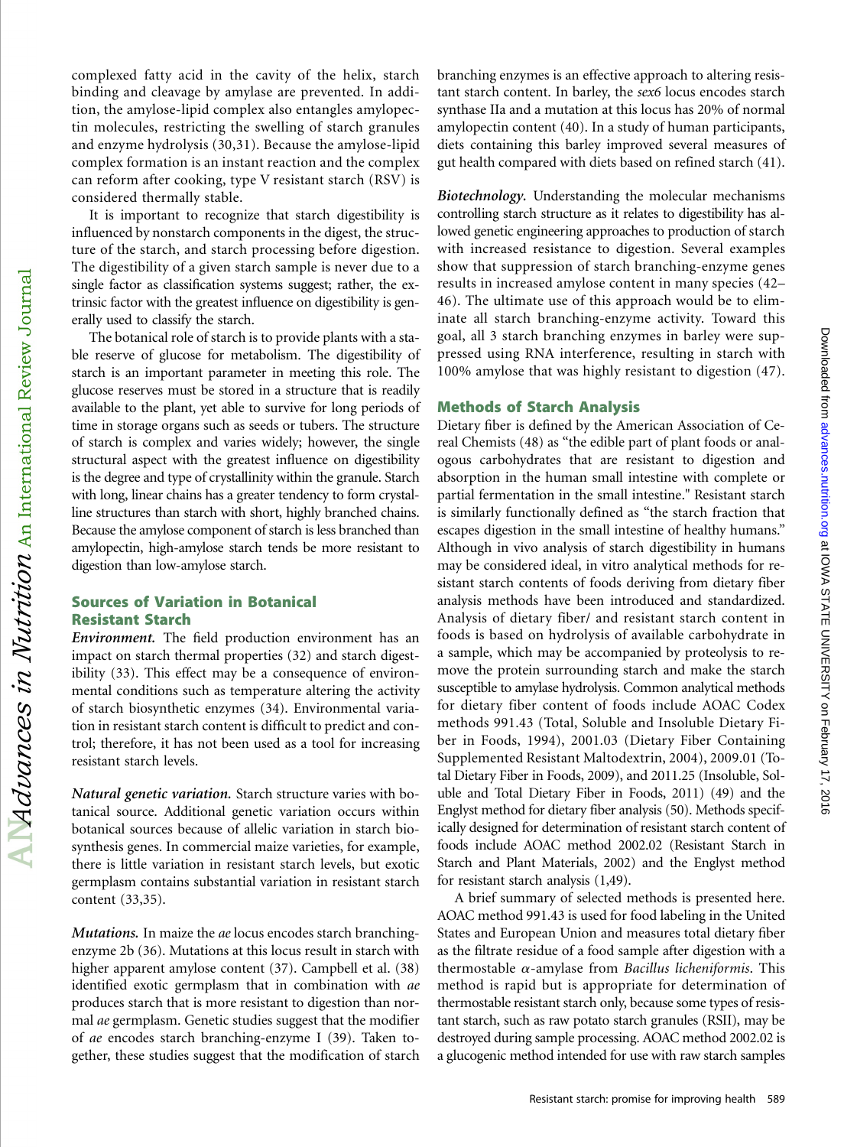complexed fatty acid in the cavity of the helix, starch binding and cleavage by amylase are prevented. In addition, the amylose-lipid complex also entangles amylopectin molecules, restricting the swelling of starch granules and enzyme hydrolysis (30,31). Because the amylose-lipid complex formation is an instant reaction and the complex can reform after cooking, type V resistant starch (RSV) is considered thermally stable.

It is important to recognize that starch digestibility is influenced by nonstarch components in the digest, the structure of the starch, and starch processing before digestion. The digestibility of a given starch sample is never due to a single factor as classification systems suggest; rather, the extrinsic factor with the greatest influence on digestibility is generally used to classify the starch.

The botanical role of starch is to provide plants with a stable reserve of glucose for metabolism. The digestibility of starch is an important parameter in meeting this role. The glucose reserves must be stored in a structure that is readily available to the plant, yet able to survive for long periods of time in storage organs such as seeds or tubers. The structure of starch is complex and varies widely; however, the single structural aspect with the greatest influence on digestibility is the degree and type of crystallinity within the granule. Starch with long, linear chains has a greater tendency to form crystalline structures than starch with short, highly branched chains. Because the amylose component of starch is less branched than amylopectin, high-amylose starch tends be more resistant to digestion than low-amylose starch.

## Sources of Variation in Botanical Resistant Starch

 $\Delta$ N $d$ Vances in Nutrition  $_{\rm An\, International\, Review\, Journal}$ 

Environment. The field production environment has an impact on starch thermal properties (32) and starch digestibility (33). This effect may be a consequence of environmental conditions such as temperature altering the activity of starch biosynthetic enzymes (34). Environmental variation in resistant starch content is difficult to predict and control; therefore, it has not been used as a tool for increasing resistant starch levels.

Natural genetic variation. Starch structure varies with botanical source. Additional genetic variation occurs within botanical sources because of allelic variation in starch biosynthesis genes. In commercial maize varieties, for example, there is little variation in resistant starch levels, but exotic germplasm contains substantial variation in resistant starch content (33,35).

Mutations. In maize the ae locus encodes starch branchingenzyme 2b (36). Mutations at this locus result in starch with higher apparent amylose content (37). Campbell et al. (38) identified exotic germplasm that in combination with ae produces starch that is more resistant to digestion than normal ae germplasm. Genetic studies suggest that the modifier of ae encodes starch branching-enzyme I (39). Taken together, these studies suggest that the modification of starch

branching enzymes is an effective approach to altering resistant starch content. In barley, the sex6 locus encodes starch synthase IIa and a mutation at this locus has 20% of normal amylopectin content (40). In a study of human participants, diets containing this barley improved several measures of gut health compared with diets based on refined starch (41).

Biotechnology. Understanding the molecular mechanisms controlling starch structure as it relates to digestibility has allowed genetic engineering approaches to production of starch with increased resistance to digestion. Several examples show that suppression of starch branching-enzyme genes results in increased amylose content in many species (42– 46). The ultimate use of this approach would be to eliminate all starch branching-enzyme activity. Toward this goal, all 3 starch branching enzymes in barley were suppressed using RNA interference, resulting in starch with 100% amylose that was highly resistant to digestion (47).

## Methods of Starch Analysis

Dietary fiber is defined by the American Association of Cereal Chemists (48) as "the edible part of plant foods or analogous carbohydrates that are resistant to digestion and absorption in the human small intestine with complete or partial fermentation in the small intestine." Resistant starch is similarly functionally defined as "the starch fraction that escapes digestion in the small intestine of healthy humans." Although in vivo analysis of starch digestibility in humans may be considered ideal, in vitro analytical methods for resistant starch contents of foods deriving from dietary fiber analysis methods have been introduced and standardized. Analysis of dietary fiber/ and resistant starch content in foods is based on hydrolysis of available carbohydrate in a sample, which may be accompanied by proteolysis to remove the protein surrounding starch and make the starch susceptible to amylase hydrolysis. Common analytical methods for dietary fiber content of foods include AOAC Codex methods 991.43 (Total, Soluble and Insoluble Dietary Fiber in Foods, 1994), 2001.03 (Dietary Fiber Containing Supplemented Resistant Maltodextrin, 2004), 2009.01 (Total Dietary Fiber in Foods, 2009), and 2011.25 (Insoluble, Soluble and Total Dietary Fiber in Foods, 2011) (49) and the Englyst method for dietary fiber analysis (50). Methods specifically designed for determination of resistant starch content of foods include AOAC method 2002.02 (Resistant Starch in Starch and Plant Materials, 2002) and the Englyst method for resistant starch analysis (1,49).

A brief summary of selected methods is presented here. AOAC method 991.43 is used for food labeling in the United States and European Union and measures total dietary fiber as the filtrate residue of a food sample after digestion with a thermostable  $\alpha$ -amylase from Bacillus licheniformis. This method is rapid but is appropriate for determination of thermostable resistant starch only, because some types of resistant starch, such as raw potato starch granules (RSII), may be destroyed during sample processing. AOAC method 2002.02 is a glucogenic method intended for use with raw starch samples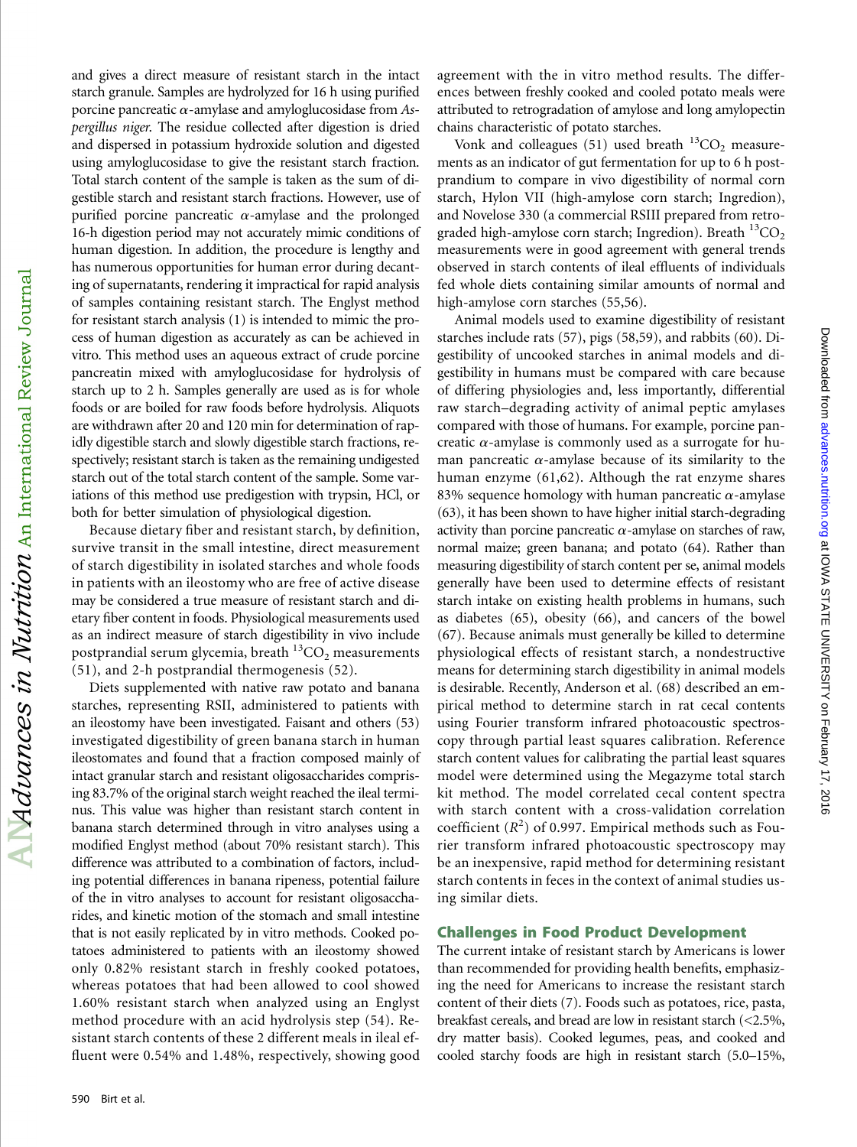and gives a direct measure of resistant starch in the intact starch granule. Samples are hydrolyzed for 16 h using purified porcine pancreatic  $\alpha$ -amylase and amyloglucosidase from Aspergillus niger. The residue collected after digestion is dried and dispersed in potassium hydroxide solution and digested using amyloglucosidase to give the resistant starch fraction. Total starch content of the sample is taken as the sum of digestible starch and resistant starch fractions. However, use of purified porcine pancreatic  $\alpha$ -amylase and the prolonged 16-h digestion period may not accurately mimic conditions of human digestion. In addition, the procedure is lengthy and has numerous opportunities for human error during decanting of supernatants, rendering it impractical for rapid analysis of samples containing resistant starch. The Englyst method for resistant starch analysis (1) is intended to mimic the process of human digestion as accurately as can be achieved in vitro. This method uses an aqueous extract of crude porcine pancreatin mixed with amyloglucosidase for hydrolysis of starch up to 2 h. Samples generally are used as is for whole foods or are boiled for raw foods before hydrolysis. Aliquots are withdrawn after 20 and 120 min for determination of rapidly digestible starch and slowly digestible starch fractions, respectively; resistant starch is taken as the remaining undigested starch out of the total starch content of the sample. Some variations of this method use predigestion with trypsin, HCl, or both for better simulation of physiological digestion.

Because dietary fiber and resistant starch, by definition, survive transit in the small intestine, direct measurement of starch digestibility in isolated starches and whole foods in patients with an ileostomy who are free of active disease may be considered a true measure of resistant starch and dietary fiber content in foods. Physiological measurements used as an indirect measure of starch digestibility in vivo include postprandial serum glycemia, breath  ${}^{13}CO_2$  measurements (51), and 2-h postprandial thermogenesis (52).

Diets supplemented with native raw potato and banana starches, representing RSII, administered to patients with an ileostomy have been investigated. Faisant and others (53) investigated digestibility of green banana starch in human ileostomates and found that a fraction composed mainly of intact granular starch and resistant oligosaccharides comprising 83.7% of the original starch weight reached the ileal terminus. This value was higher than resistant starch content in banana starch determined through in vitro analyses using a modified Englyst method (about 70% resistant starch). This difference was attributed to a combination of factors, including potential differences in banana ripeness, potential failure of the in vitro analyses to account for resistant oligosaccharides, and kinetic motion of the stomach and small intestine that is not easily replicated by in vitro methods. Cooked potatoes administered to patients with an ileostomy showed only 0.82% resistant starch in freshly cooked potatoes, whereas potatoes that had been allowed to cool showed 1.60% resistant starch when analyzed using an Englyst method procedure with an acid hydrolysis step (54). Resistant starch contents of these 2 different meals in ileal effluent were 0.54% and 1.48%, respectively, showing good

agreement with the in vitro method results. The differences between freshly cooked and cooled potato meals were attributed to retrogradation of amylose and long amylopectin chains characteristic of potato starches.

Vonk and colleagues (51) used breath  ${}^{13}CO_2$  measurements as an indicator of gut fermentation for up to 6 h postprandium to compare in vivo digestibility of normal corn starch, Hylon VII (high-amylose corn starch; Ingredion), and Novelose 330 (a commercial RSIII prepared from retrograded high-amylose corn starch; Ingredion). Breath  ${}^{13}CO_2$ measurements were in good agreement with general trends observed in starch contents of ileal effluents of individuals fed whole diets containing similar amounts of normal and high-amylose corn starches (55,56).

Animal models used to examine digestibility of resistant starches include rats (57), pigs (58,59), and rabbits (60). Digestibility of uncooked starches in animal models and digestibility in humans must be compared with care because of differing physiologies and, less importantly, differential raw starch–degrading activity of animal peptic amylases compared with those of humans. For example, porcine pancreatic  $\alpha$ -amylase is commonly used as a surrogate for human pancreatic  $\alpha$ -amylase because of its similarity to the human enzyme (61,62). Although the rat enzyme shares 83% sequence homology with human pancreatic  $\alpha$ -amylase (63), it has been shown to have higher initial starch-degrading activity than porcine pancreatic  $\alpha$ -amylase on starches of raw, normal maize; green banana; and potato (64). Rather than measuring digestibility of starch content per se, animal models generally have been used to determine effects of resistant starch intake on existing health problems in humans, such as diabetes (65), obesity (66), and cancers of the bowel (67). Because animals must generally be killed to determine physiological effects of resistant starch, a nondestructive means for determining starch digestibility in animal models is desirable. Recently, Anderson et al. (68) described an empirical method to determine starch in rat cecal contents using Fourier transform infrared photoacoustic spectroscopy through partial least squares calibration. Reference starch content values for calibrating the partial least squares model were determined using the Megazyme total starch kit method. The model correlated cecal content spectra with starch content with a cross-validation correlation coefficient  $(R^2)$  of 0.997. Empirical methods such as Fourier transform infrared photoacoustic spectroscopy may be an inexpensive, rapid method for determining resistant starch contents in feces in the context of animal studies using similar diets.

## Challenges in Food Product Development

The current intake of resistant starch by Americans is lower than recommended for providing health benefits, emphasizing the need for Americans to increase the resistant starch content of their diets (7). Foods such as potatoes, rice, pasta, breakfast cereals, and bread are low in resistant starch (<2.5%, dry matter basis). Cooked legumes, peas, and cooked and cooled starchy foods are high in resistant starch (5.0–15%,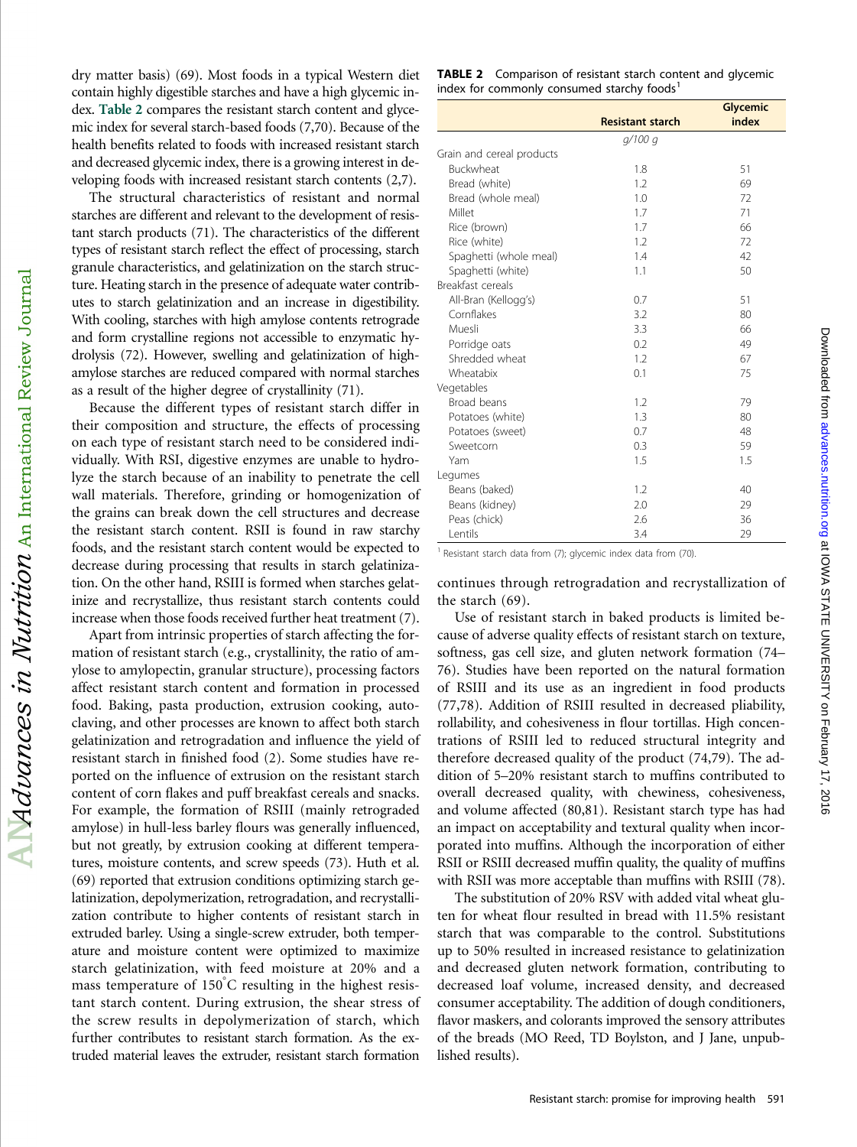dry matter basis) (69). Most foods in a typical Western diet contain highly digestible starches and have a high glycemic index. Table 2 compares the resistant starch content and glycemic index for several starch-based foods (7,70). Because of the health benefits related to foods with increased resistant starch and decreased glycemic index, there is a growing interest in developing foods with increased resistant starch contents (2,7).

The structural characteristics of resistant and normal starches are different and relevant to the development of resistant starch products (71). The characteristics of the different types of resistant starch reflect the effect of processing, starch granule characteristics, and gelatinization on the starch structure. Heating starch in the presence of adequate water contributes to starch gelatinization and an increase in digestibility. With cooling, starches with high amylose contents retrograde and form crystalline regions not accessible to enzymatic hydrolysis (72). However, swelling and gelatinization of highamylose starches are reduced compared with normal starches as a result of the higher degree of crystallinity (71).

Because the different types of resistant starch differ in their composition and structure, the effects of processing on each type of resistant starch need to be considered individually. With RSI, digestive enzymes are unable to hydrolyze the starch because of an inability to penetrate the cell wall materials. Therefore, grinding or homogenization of the grains can break down the cell structures and decrease the resistant starch content. RSII is found in raw starchy foods, and the resistant starch content would be expected to decrease during processing that results in starch gelatinization. On the other hand, RSIII is formed when starches gelatinize and recrystallize, thus resistant starch contents could increase when those foods received further heat treatment (7).

Apart from intrinsic properties of starch affecting the formation of resistant starch (e.g., crystallinity, the ratio of amylose to amylopectin, granular structure), processing factors affect resistant starch content and formation in processed food. Baking, pasta production, extrusion cooking, autoclaving, and other processes are known to affect both starch gelatinization and retrogradation and influence the yield of resistant starch in finished food (2). Some studies have reported on the influence of extrusion on the resistant starch content of corn flakes and puff breakfast cereals and snacks. For example, the formation of RSIII (mainly retrograded amylose) in hull-less barley flours was generally influenced, but not greatly, by extrusion cooking at different temperatures, moisture contents, and screw speeds (73). Huth et al. (69) reported that extrusion conditions optimizing starch gelatinization, depolymerization, retrogradation, and recrystallization contribute to higher contents of resistant starch in extruded barley. Using a single-screw extruder, both temperature and moisture content were optimized to maximize starch gelatinization, with feed moisture at 20% and a mass temperature of  $150^{\circ}$ C resulting in the highest resistant starch content. During extrusion, the shear stress of the screw results in depolymerization of starch, which further contributes to resistant starch formation. As the extruded material leaves the extruder, resistant starch formation

| <b>TABLE 2</b> Comparison of resistant starch content and glycemic |
|--------------------------------------------------------------------|
| index for commonly consumed starchy foods <sup>1</sup>             |

|                           | <b>Resistant starch</b> | Glycemic<br>index |
|---------------------------|-------------------------|-------------------|
|                           | q/100q                  |                   |
| Grain and cereal products |                         |                   |
| Buckwheat                 | 1.8                     | 51                |
| Bread (white)             | 1.2                     | 69                |
| Bread (whole meal)        | 1.0                     | 72                |
| Millet                    | 1.7                     | 71                |
| Rice (brown)              | 1.7                     | 66                |
| Rice (white)              | 1.2                     | 72                |
| Spaghetti (whole meal)    | 1.4                     | 42                |
| Spaghetti (white)         | 1.1                     | 50                |
| Breakfast cereals         |                         |                   |
| All-Bran (Kellogg's)      | 0.7                     | 51                |
| Cornflakes                | 3.2                     | 80                |
| Muesli                    | 3.3                     | 66                |
| Porridge oats             | 0.2                     | 49                |
| Shredded wheat            | 1.2                     | 67                |
| Wheatabix                 | 0.1                     | 75                |
| Vegetables                |                         |                   |
| Broad beans               | 1.2                     | 79                |
| Potatoes (white)          | 1.3                     | 80                |
| Potatoes (sweet)          | 0.7                     | 48                |
| Sweetcorn                 | 0.3                     | 59                |
| Yam                       | 1.5                     | 1.5               |
| Legumes                   |                         |                   |
| Beans (baked)             | 1.2                     | 40                |
| Beans (kidney)            | 2.0                     | 29                |
| Peas (chick)              | 2.6                     | 36                |
| Lentils                   | 3.4                     | 29                |

 $1$  Resistant starch data from (7); glycemic index data from (70).

continues through retrogradation and recrystallization of the starch (69).

at IOWA STATE UNIVERSITY on February 17, 2016 [advances.nutrition.org](http://advances.nutrition.org/) Downloaded from

Downloaded from advances.nutrition.org at IOWA STATE UNIVERSITY on February 17, 2016

Use of resistant starch in baked products is limited because of adverse quality effects of resistant starch on texture, softness, gas cell size, and gluten network formation (74– 76). Studies have been reported on the natural formation of RSIII and its use as an ingredient in food products (77,78). Addition of RSIII resulted in decreased pliability, rollability, and cohesiveness in flour tortillas. High concentrations of RSIII led to reduced structural integrity and therefore decreased quality of the product (74,79). The addition of 5–20% resistant starch to muffins contributed to overall decreased quality, with chewiness, cohesiveness, and volume affected (80,81). Resistant starch type has had an impact on acceptability and textural quality when incorporated into muffins. Although the incorporation of either RSII or RSIII decreased muffin quality, the quality of muffins with RSII was more acceptable than muffins with RSIII (78).

The substitution of 20% RSV with added vital wheat gluten for wheat flour resulted in bread with 11.5% resistant starch that was comparable to the control. Substitutions up to 50% resulted in increased resistance to gelatinization and decreased gluten network formation, contributing to decreased loaf volume, increased density, and decreased consumer acceptability. The addition of dough conditioners, flavor maskers, and colorants improved the sensory attributes of the breads (MO Reed, TD Boylston, and J Jane, unpublished results).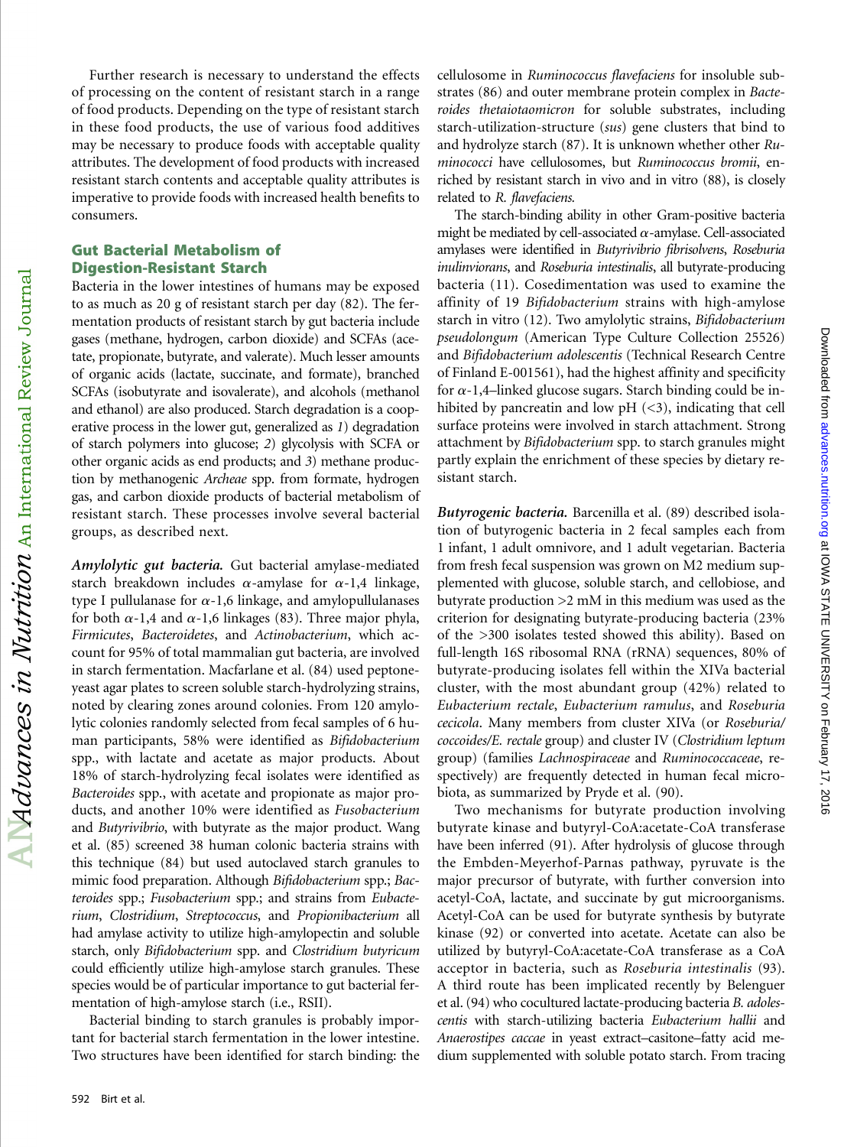Further research is necessary to understand the effects of processing on the content of resistant starch in a range of food products. Depending on the type of resistant starch in these food products, the use of various food additives may be necessary to produce foods with acceptable quality attributes. The development of food products with increased resistant starch contents and acceptable quality attributes is imperative to provide foods with increased health benefits to consumers.

## Gut Bacterial Metabolism of Digestion-Resistant Starch

Bacteria in the lower intestines of humans may be exposed to as much as 20 g of resistant starch per day (82). The fermentation products of resistant starch by gut bacteria include gases (methane, hydrogen, carbon dioxide) and SCFAs (acetate, propionate, butyrate, and valerate). Much lesser amounts of organic acids (lactate, succinate, and formate), branched SCFAs (isobutyrate and isovalerate), and alcohols (methanol and ethanol) are also produced. Starch degradation is a cooperative process in the lower gut, generalized as 1) degradation of starch polymers into glucose; 2) glycolysis with SCFA or other organic acids as end products; and 3) methane production by methanogenic Archeae spp. from formate, hydrogen gas, and carbon dioxide products of bacterial metabolism of resistant starch. These processes involve several bacterial groups, as described next.

Amylolytic gut bacteria. Gut bacterial amylase-mediated starch breakdown includes  $\alpha$ -amylase for  $\alpha$ -1,4 linkage, type I pullulanase for  $\alpha$ -1,6 linkage, and amylopullulanases for both  $\alpha$ -1,4 and  $\alpha$ -1,6 linkages (83). Three major phyla, Firmicutes, Bacteroidetes, and Actinobacterium, which account for 95% of total mammalian gut bacteria, are involved in starch fermentation. Macfarlane et al. (84) used peptoneyeast agar plates to screen soluble starch-hydrolyzing strains, noted by clearing zones around colonies. From 120 amylolytic colonies randomly selected from fecal samples of 6 human participants, 58% were identified as Bifidobacterium spp., with lactate and acetate as major products. About 18% of starch-hydrolyzing fecal isolates were identified as Bacteroides spp., with acetate and propionate as major products, and another 10% were identified as Fusobacterium and Butyrivibrio, with butyrate as the major product. Wang et al. (85) screened 38 human colonic bacteria strains with this technique (84) but used autoclaved starch granules to mimic food preparation. Although Bifidobacterium spp.; Bacteroides spp.; Fusobacterium spp.; and strains from Eubacterium, Clostridium, Streptococcus, and Propionibacterium all had amylase activity to utilize high-amylopectin and soluble starch, only Bifidobacterium spp. and Clostridium butyricum could efficiently utilize high-amylose starch granules. These species would be of particular importance to gut bacterial fermentation of high-amylose starch (i.e., RSII).

Bacterial binding to starch granules is probably important for bacterial starch fermentation in the lower intestine. Two structures have been identified for starch binding: the cellulosome in Ruminococcus flavefaciens for insoluble substrates (86) and outer membrane protein complex in Bacteroides thetaiotaomicron for soluble substrates, including starch-utilization-structure (sus) gene clusters that bind to and hydrolyze starch (87). It is unknown whether other Ruminococci have cellulosomes, but Ruminococcus bromii, enriched by resistant starch in vivo and in vitro (88), is closely related to R. flavefaciens.

The starch-binding ability in other Gram-positive bacteria might be mediated by cell-associated  $\alpha$ -amylase. Cell-associated amylases were identified in Butyrivibrio fibrisolvens, Roseburia inulinviorans, and Roseburia intestinalis, all butyrate-producing bacteria (11). Cosedimentation was used to examine the affinity of 19 Bifidobacterium strains with high-amylose starch in vitro (12). Two amylolytic strains, Bifidobacterium pseudolongum (American Type Culture Collection 25526) and Bifidobacterium adolescentis (Technical Research Centre of Finland E-001561), had the highest affinity and specificity for  $\alpha$ -1,4–linked glucose sugars. Starch binding could be inhibited by pancreatin and low  $pH \leq 3$ , indicating that cell surface proteins were involved in starch attachment. Strong attachment by Bifidobacterium spp. to starch granules might partly explain the enrichment of these species by dietary resistant starch.

Butyrogenic bacteria. Barcenilla et al. (89) described isolation of butyrogenic bacteria in 2 fecal samples each from 1 infant, 1 adult omnivore, and 1 adult vegetarian. Bacteria from fresh fecal suspension was grown on M2 medium supplemented with glucose, soluble starch, and cellobiose, and butyrate production >2 mM in this medium was used as the criterion for designating butyrate-producing bacteria (23% of the >300 isolates tested showed this ability). Based on full-length 16S ribosomal RNA (rRNA) sequences, 80% of butyrate-producing isolates fell within the XIVa bacterial cluster, with the most abundant group (42%) related to Eubacterium rectale, Eubacterium ramulus, and Roseburia cecicola. Many members from cluster XIVa (or Roseburia/ coccoides/E. rectale group) and cluster IV (Clostridium leptum group) (families Lachnospiraceae and Ruminococcaceae, respectively) are frequently detected in human fecal microbiota, as summarized by Pryde et al. (90).

Two mechanisms for butyrate production involving butyrate kinase and butyryl-CoA:acetate-CoA transferase have been inferred (91). After hydrolysis of glucose through the Embden-Meyerhof-Parnas pathway, pyruvate is the major precursor of butyrate, with further conversion into acetyl-CoA, lactate, and succinate by gut microorganisms. Acetyl-CoA can be used for butyrate synthesis by butyrate kinase (92) or converted into acetate. Acetate can also be utilized by butyryl-CoA:acetate-CoA transferase as a CoA acceptor in bacteria, such as Roseburia intestinalis (93). A third route has been implicated recently by Belenguer et al. (94) who cocultured lactate-producing bacteria B. adolescentis with starch-utilizing bacteria Eubacterium hallii and Anaerostipes caccae in yeast extract–casitone–fatty acid medium supplemented with soluble potato starch. From tracing

 ${\rm AlM}$ d ${\it values}$  in  ${\it N}\iota$ thition  ${\rm An~International~Review~Journal}$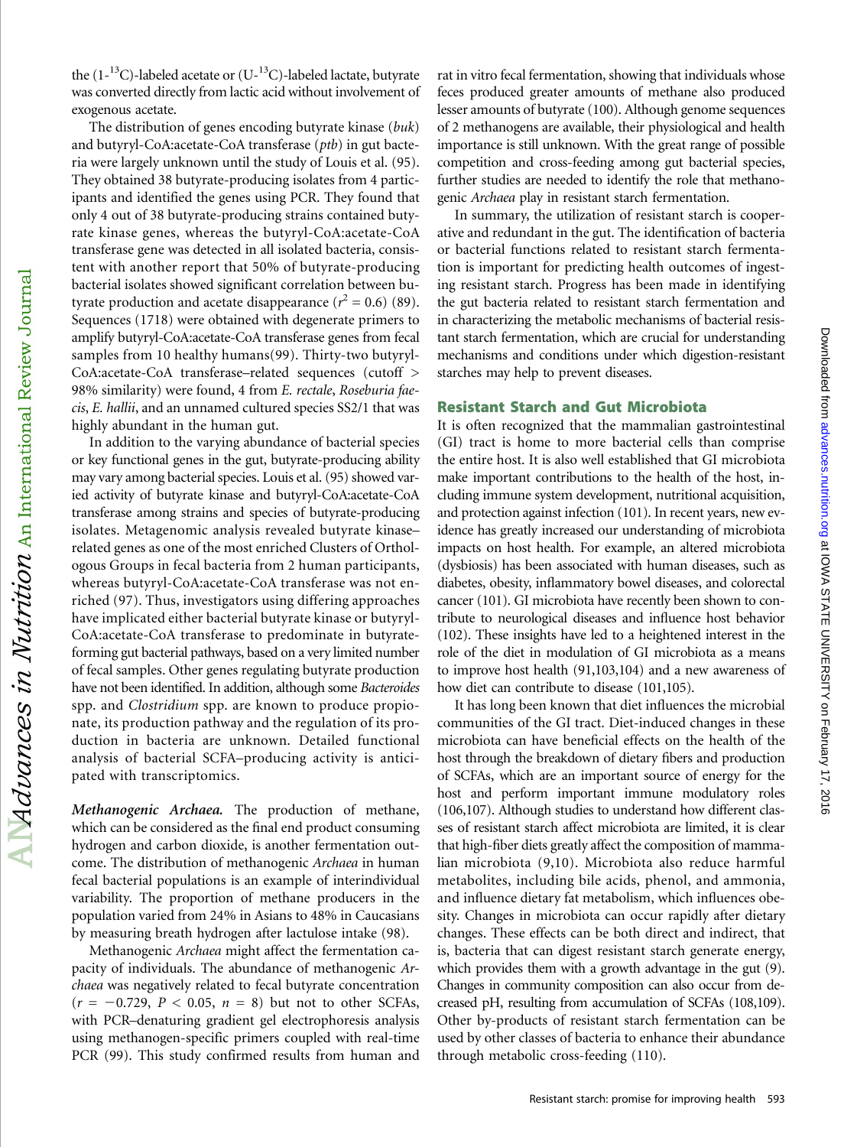the  $(1^{-13}C)$ -labeled acetate or  $(U^{-13}C)$ -labeled lactate, butyrate was converted directly from lactic acid without involvement of exogenous acetate.

The distribution of genes encoding butyrate kinase (buk) and butyryl-CoA:acetate-CoA transferase (ptb) in gut bacteria were largely unknown until the study of Louis et al. (95). They obtained 38 butyrate-producing isolates from 4 participants and identified the genes using PCR. They found that only 4 out of 38 butyrate-producing strains contained butyrate kinase genes, whereas the butyryl-CoA:acetate-CoA transferase gene was detected in all isolated bacteria, consistent with another report that 50% of butyrate-producing bacterial isolates showed significant correlation between butyrate production and acetate disappearance ( $r^2 = 0.6$ ) (89). Sequences (1718) were obtained with degenerate primers to amplify butyryl-CoA:acetate-CoA transferase genes from fecal samples from 10 healthy humans(99). Thirty-two butyryl-CoA:acetate-CoA transferase–related sequences (cutoff > 98% similarity) were found, 4 from E. rectale, Roseburia faecis, E. hallii, and an unnamed cultured species SS2/1 that was highly abundant in the human gut.

In addition to the varying abundance of bacterial species or key functional genes in the gut, butyrate-producing ability may vary among bacterial species. Louis et al. (95) showed varied activity of butyrate kinase and butyryl-CoA:acetate-CoA transferase among strains and species of butyrate-producing isolates. Metagenomic analysis revealed butyrate kinase– related genes as one of the most enriched Clusters of Orthologous Groups in fecal bacteria from 2 human participants, whereas butyryl-CoA:acetate-CoA transferase was not enriched (97). Thus, investigators using differing approaches have implicated either bacterial butyrate kinase or butyryl-CoA:acetate-CoA transferase to predominate in butyrateforming gut bacterial pathways, based on a very limited number of fecal samples. Other genes regulating butyrate production have not been identified. In addition, although some Bacteroides spp. and Clostridium spp. are known to produce propionate, its production pathway and the regulation of its production in bacteria are unknown. Detailed functional analysis of bacterial SCFA–producing activity is anticipated with transcriptomics.

Methanogenic Archaea. The production of methane, which can be considered as the final end product consuming hydrogen and carbon dioxide, is another fermentation outcome. The distribution of methanogenic Archaea in human fecal bacterial populations is an example of interindividual variability. The proportion of methane producers in the population varied from 24% in Asians to 48% in Caucasians by measuring breath hydrogen after lactulose intake (98).

Methanogenic Archaea might affect the fermentation capacity of individuals. The abundance of methanogenic Archaea was negatively related to fecal butyrate concentration  $(r = -0.729, P < 0.05, n = 8)$  but not to other SCFAs, with PCR–denaturing gradient gel electrophoresis analysis using methanogen-specific primers coupled with real-time PCR (99). This study confirmed results from human and

rat in vitro fecal fermentation, showing that individuals whose feces produced greater amounts of methane also produced lesser amounts of butyrate (100). Although genome sequences of 2 methanogens are available, their physiological and health importance is still unknown. With the great range of possible competition and cross-feeding among gut bacterial species, further studies are needed to identify the role that methanogenic Archaea play in resistant starch fermentation.

In summary, the utilization of resistant starch is cooperative and redundant in the gut. The identification of bacteria or bacterial functions related to resistant starch fermentation is important for predicting health outcomes of ingesting resistant starch. Progress has been made in identifying the gut bacteria related to resistant starch fermentation and in characterizing the metabolic mechanisms of bacterial resistant starch fermentation, which are crucial for understanding mechanisms and conditions under which digestion-resistant starches may help to prevent diseases.

#### Resistant Starch and Gut Microbiota

It is often recognized that the mammalian gastrointestinal (GI) tract is home to more bacterial cells than comprise the entire host. It is also well established that GI microbiota make important contributions to the health of the host, including immune system development, nutritional acquisition, and protection against infection (101). In recent years, new evidence has greatly increased our understanding of microbiota impacts on host health. For example, an altered microbiota (dysbiosis) has been associated with human diseases, such as diabetes, obesity, inflammatory bowel diseases, and colorectal cancer (101). GI microbiota have recently been shown to contribute to neurological diseases and influence host behavior (102). These insights have led to a heightened interest in the role of the diet in modulation of GI microbiota as a means to improve host health (91,103,104) and a new awareness of how diet can contribute to disease (101,105).

It has long been known that diet influences the microbial communities of the GI tract. Diet-induced changes in these microbiota can have beneficial effects on the health of the host through the breakdown of dietary fibers and production of SCFAs, which are an important source of energy for the host and perform important immune modulatory roles (106,107). Although studies to understand how different classes of resistant starch affect microbiota are limited, it is clear that high-fiber diets greatly affect the composition of mammalian microbiota (9,10). Microbiota also reduce harmful metabolites, including bile acids, phenol, and ammonia, and influence dietary fat metabolism, which influences obesity. Changes in microbiota can occur rapidly after dietary changes. These effects can be both direct and indirect, that is, bacteria that can digest resistant starch generate energy, which provides them with a growth advantage in the gut (9). Changes in community composition can also occur from decreased pH, resulting from accumulation of SCFAs (108,109). Other by-products of resistant starch fermentation can be used by other classes of bacteria to enhance their abundance through metabolic cross-feeding (110).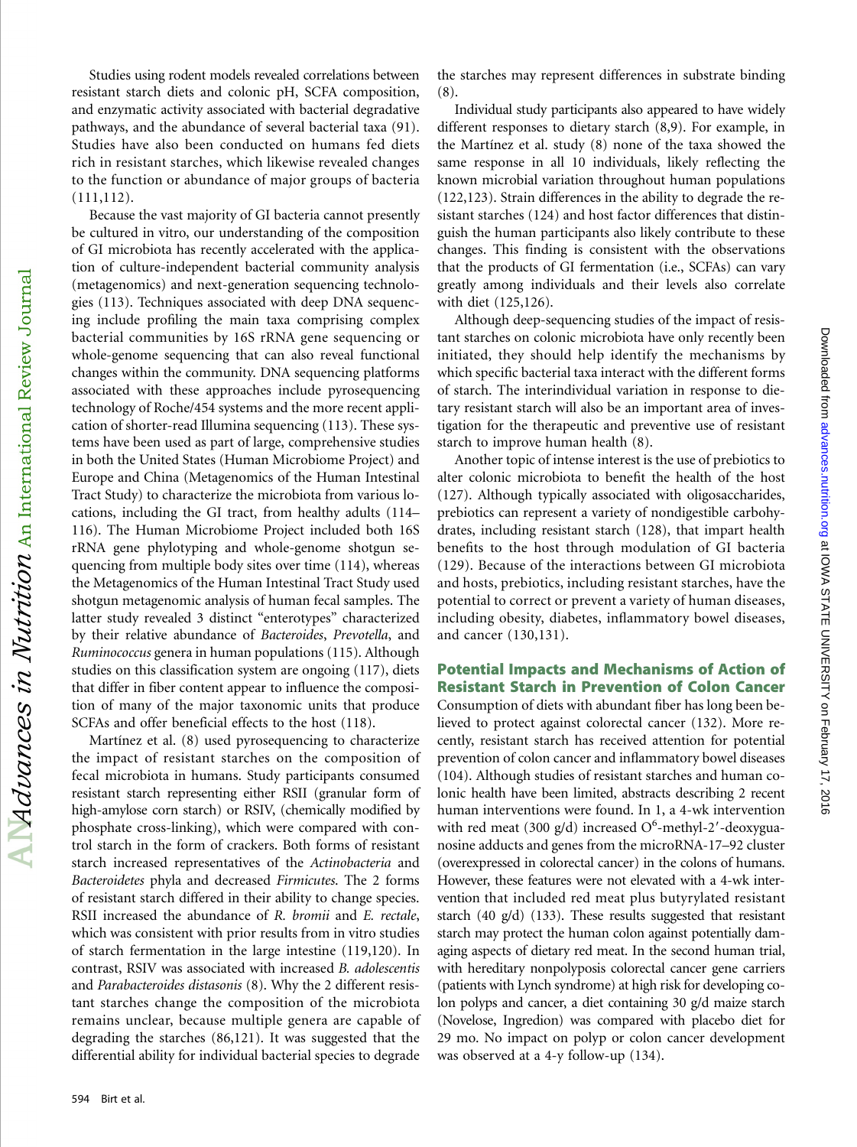Studies using rodent models revealed correlations between resistant starch diets and colonic pH, SCFA composition, and enzymatic activity associated with bacterial degradative pathways, and the abundance of several bacterial taxa (91). Studies have also been conducted on humans fed diets rich in resistant starches, which likewise revealed changes to the function or abundance of major groups of bacteria (111,112).

Because the vast majority of GI bacteria cannot presently be cultured in vitro, our understanding of the composition of GI microbiota has recently accelerated with the application of culture-independent bacterial community analysis (metagenomics) and next-generation sequencing technologies (113). Techniques associated with deep DNA sequencing include profiling the main taxa comprising complex bacterial communities by 16S rRNA gene sequencing or whole-genome sequencing that can also reveal functional changes within the community. DNA sequencing platforms associated with these approaches include pyrosequencing technology of Roche/454 systems and the more recent application of shorter-read Illumina sequencing (113). These systems have been used as part of large, comprehensive studies in both the United States (Human Microbiome Project) and Europe and China (Metagenomics of the Human Intestinal Tract Study) to characterize the microbiota from various locations, including the GI tract, from healthy adults (114– 116). The Human Microbiome Project included both 16S rRNA gene phylotyping and whole-genome shotgun sequencing from multiple body sites over time (114), whereas the Metagenomics of the Human Intestinal Tract Study used shotgun metagenomic analysis of human fecal samples. The latter study revealed 3 distinct "enterotypes" characterized by their relative abundance of Bacteroides, Prevotella, and Ruminococcus genera in human populations (115). Although studies on this classification system are ongoing (117), diets that differ in fiber content appear to influence the composition of many of the major taxonomic units that produce SCFAs and offer beneficial effects to the host (118).

Martínez et al. (8) used pyrosequencing to characterize the impact of resistant starches on the composition of fecal microbiota in humans. Study participants consumed resistant starch representing either RSII (granular form of high-amylose corn starch) or RSIV, (chemically modified by phosphate cross-linking), which were compared with control starch in the form of crackers. Both forms of resistant starch increased representatives of the Actinobacteria and Bacteroidetes phyla and decreased Firmicutes. The 2 forms of resistant starch differed in their ability to change species. RSII increased the abundance of R. bromii and E. rectale, which was consistent with prior results from in vitro studies of starch fermentation in the large intestine (119,120). In contrast, RSIV was associated with increased B. adolescentis and Parabacteroides distasonis (8). Why the 2 different resistant starches change the composition of the microbiota remains unclear, because multiple genera are capable of degrading the starches (86,121). It was suggested that the differential ability for individual bacterial species to degrade

the starches may represent differences in substrate binding (8).

Individual study participants also appeared to have widely different responses to dietary starch (8,9). For example, in the Martínez et al. study (8) none of the taxa showed the same response in all 10 individuals, likely reflecting the known microbial variation throughout human populations (122,123). Strain differences in the ability to degrade the resistant starches (124) and host factor differences that distinguish the human participants also likely contribute to these changes. This finding is consistent with the observations that the products of GI fermentation (i.e., SCFAs) can vary greatly among individuals and their levels also correlate with diet (125,126).

Although deep-sequencing studies of the impact of resistant starches on colonic microbiota have only recently been initiated, they should help identify the mechanisms by which specific bacterial taxa interact with the different forms of starch. The interindividual variation in response to dietary resistant starch will also be an important area of investigation for the therapeutic and preventive use of resistant starch to improve human health (8).

Another topic of intense interest is the use of prebiotics to alter colonic microbiota to benefit the health of the host (127). Although typically associated with oligosaccharides, prebiotics can represent a variety of nondigestible carbohydrates, including resistant starch (128), that impart health benefits to the host through modulation of GI bacteria (129). Because of the interactions between GI microbiota and hosts, prebiotics, including resistant starches, have the potential to correct or prevent a variety of human diseases, including obesity, diabetes, inflammatory bowel diseases, and cancer (130,131).

# Potential Impacts and Mechanisms of Action of Resistant Starch in Prevention of Colon Cancer

Consumption of diets with abundant fiber has long been believed to protect against colorectal cancer (132). More recently, resistant starch has received attention for potential prevention of colon cancer and inflammatory bowel diseases (104). Although studies of resistant starches and human colonic health have been limited, abstracts describing 2 recent human interventions were found. In 1, a 4-wk intervention with red meat (300 g/d) increased  $O<sup>6</sup>$ -methyl-2'-deoxyguanosine adducts and genes from the microRNA-17–92 cluster (overexpressed in colorectal cancer) in the colons of humans. However, these features were not elevated with a 4-wk intervention that included red meat plus butyrylated resistant starch (40 g/d) (133). These results suggested that resistant starch may protect the human colon against potentially damaging aspects of dietary red meat. In the second human trial, with hereditary nonpolyposis colorectal cancer gene carriers (patients with Lynch syndrome) at high risk for developing colon polyps and cancer, a diet containing 30 g/d maize starch (Novelose, Ingredion) was compared with placebo diet for 29 mo. No impact on polyp or colon cancer development was observed at a 4-y follow-up (134).

 ${\rm AlM}$ alvances in Nutrition  ${\rm An\,\, International\,\, Review\,\, Journal}$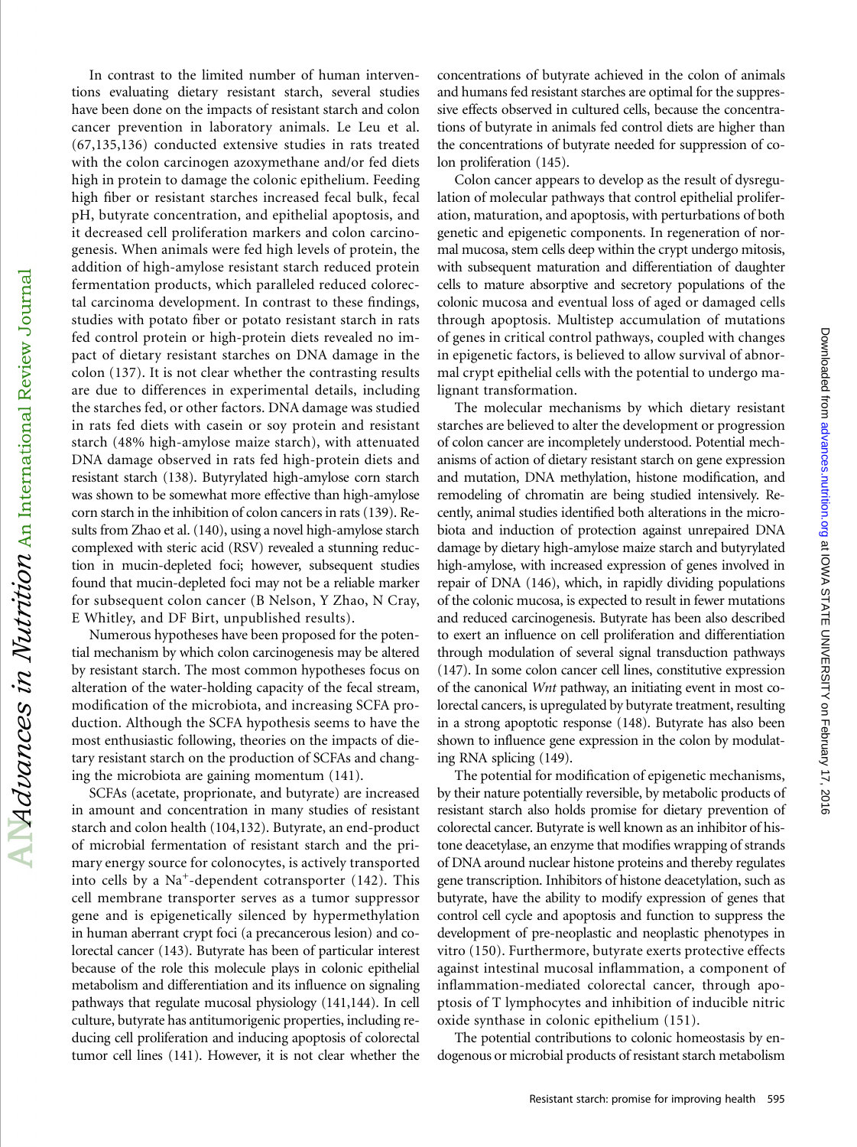In contrast to the limited number of human interventions evaluating dietary resistant starch, several studies have been done on the impacts of resistant starch and colon cancer prevention in laboratory animals. Le Leu et al. (67,135,136) conducted extensive studies in rats treated with the colon carcinogen azoxymethane and/or fed diets high in protein to damage the colonic epithelium. Feeding high fiber or resistant starches increased fecal bulk, fecal pH, butyrate concentration, and epithelial apoptosis, and it decreased cell proliferation markers and colon carcinogenesis. When animals were fed high levels of protein, the addition of high-amylose resistant starch reduced protein fermentation products, which paralleled reduced colorectal carcinoma development. In contrast to these findings, studies with potato fiber or potato resistant starch in rats fed control protein or high-protein diets revealed no impact of dietary resistant starches on DNA damage in the colon (137). It is not clear whether the contrasting results are due to differences in experimental details, including the starches fed, or other factors. DNA damage was studied in rats fed diets with casein or soy protein and resistant starch (48% high-amylose maize starch), with attenuated DNA damage observed in rats fed high-protein diets and resistant starch (138). Butyrylated high-amylose corn starch was shown to be somewhat more effective than high-amylose corn starch in the inhibition of colon cancers in rats (139). Results from Zhao et al. (140), using a novel high-amylose starch complexed with steric acid (RSV) revealed a stunning reduction in mucin-depleted foci; however, subsequent studies found that mucin-depleted foci may not be a reliable marker for subsequent colon cancer (B Nelson, Y Zhao, N Cray, E Whitley, and DF Birt, unpublished results).

Numerous hypotheses have been proposed for the potential mechanism by which colon carcinogenesis may be altered by resistant starch. The most common hypotheses focus on alteration of the water-holding capacity of the fecal stream, modification of the microbiota, and increasing SCFA production. Although the SCFA hypothesis seems to have the most enthusiastic following, theories on the impacts of dietary resistant starch on the production of SCFAs and changing the microbiota are gaining momentum (141).

SCFAs (acetate, proprionate, and butyrate) are increased in amount and concentration in many studies of resistant starch and colon health (104,132). Butyrate, an end-product of microbial fermentation of resistant starch and the primary energy source for colonocytes, is actively transported into cells by a Na<sup>+</sup>-dependent cotransporter (142). This cell membrane transporter serves as a tumor suppressor gene and is epigenetically silenced by hypermethylation in human aberrant crypt foci (a precancerous lesion) and colorectal cancer (143). Butyrate has been of particular interest because of the role this molecule plays in colonic epithelial metabolism and differentiation and its influence on signaling pathways that regulate mucosal physiology (141,144). In cell culture, butyrate has antitumorigenic properties, including reducing cell proliferation and inducing apoptosis of colorectal tumor cell lines (141). However, it is not clear whether the

concentrations of butyrate achieved in the colon of animals and humans fed resistant starches are optimal for the suppressive effects observed in cultured cells, because the concentrations of butyrate in animals fed control diets are higher than the concentrations of butyrate needed for suppression of colon proliferation (145).

Colon cancer appears to develop as the result of dysregulation of molecular pathways that control epithelial proliferation, maturation, and apoptosis, with perturbations of both genetic and epigenetic components. In regeneration of normal mucosa, stem cells deep within the crypt undergo mitosis, with subsequent maturation and differentiation of daughter cells to mature absorptive and secretory populations of the colonic mucosa and eventual loss of aged or damaged cells through apoptosis. Multistep accumulation of mutations of genes in critical control pathways, coupled with changes in epigenetic factors, is believed to allow survival of abnormal crypt epithelial cells with the potential to undergo malignant transformation.

The molecular mechanisms by which dietary resistant starches are believed to alter the development or progression of colon cancer are incompletely understood. Potential mechanisms of action of dietary resistant starch on gene expression and mutation, DNA methylation, histone modification, and remodeling of chromatin are being studied intensively. Recently, animal studies identified both alterations in the microbiota and induction of protection against unrepaired DNA damage by dietary high-amylose maize starch and butyrylated high-amylose, with increased expression of genes involved in repair of DNA (146), which, in rapidly dividing populations of the colonic mucosa, is expected to result in fewer mutations and reduced carcinogenesis. Butyrate has been also described to exert an influence on cell proliferation and differentiation through modulation of several signal transduction pathways (147). In some colon cancer cell lines, constitutive expression of the canonical Wnt pathway, an initiating event in most colorectal cancers, is upregulated by butyrate treatment, resulting in a strong apoptotic response (148). Butyrate has also been shown to influence gene expression in the colon by modulating RNA splicing (149).

at IOWA STATE UNIVERSITY on February 17, 2016 [advances.nutrition.org](http://advances.nutrition.org/) Downloaded from

Downloaded from advances.nutrition.org at IOWA STATE UNIVERSITY on February 17, 2016

The potential for modification of epigenetic mechanisms, by their nature potentially reversible, by metabolic products of resistant starch also holds promise for dietary prevention of colorectal cancer. Butyrate is well known as an inhibitor of histone deacetylase, an enzyme that modifies wrapping of strands of DNA around nuclear histone proteins and thereby regulates gene transcription. Inhibitors of histone deacetylation, such as butyrate, have the ability to modify expression of genes that control cell cycle and apoptosis and function to suppress the development of pre-neoplastic and neoplastic phenotypes in vitro (150). Furthermore, butyrate exerts protective effects against intestinal mucosal inflammation, a component of inflammation-mediated colorectal cancer, through apoptosis of T lymphocytes and inhibition of inducible nitric oxide synthase in colonic epithelium (151).

The potential contributions to colonic homeostasis by endogenous or microbial products of resistant starch metabolism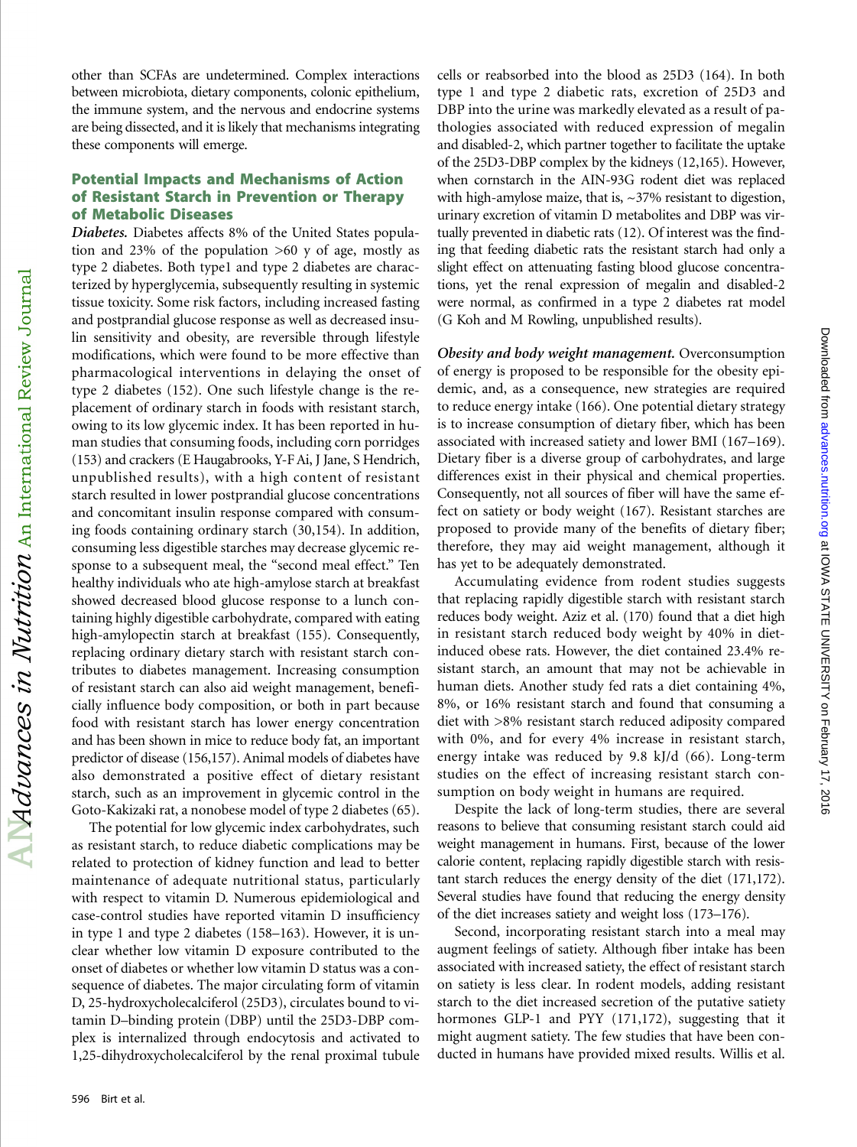type 1 and type 2 diabetic rats, excretion of 25D3 and DBP into the urine was markedly elevated as a result of pathologies associated with reduced expression of megalin and disabled-2, which partner together to facilitate the uptake of the 25D3-DBP complex by the kidneys (12,165). However, when cornstarch in the AIN-93G rodent diet was replaced with high-amylose maize, that is, ~37% resistant to digestion, urinary excretion of vitamin D metabolites and DBP was virtually prevented in diabetic rats (12). Of interest was the finding that feeding diabetic rats the resistant starch had only a slight effect on attenuating fasting blood glucose concentrations, yet the renal expression of megalin and disabled-2 were normal, as confirmed in a type 2 diabetes rat model (G Koh and M Rowling, unpublished results).

cells or reabsorbed into the blood as 25D3 (164). In both

Obesity and body weight management. Overconsumption of energy is proposed to be responsible for the obesity epidemic, and, as a consequence, new strategies are required to reduce energy intake (166). One potential dietary strategy is to increase consumption of dietary fiber, which has been associated with increased satiety and lower BMI (167–169). Dietary fiber is a diverse group of carbohydrates, and large differences exist in their physical and chemical properties. Consequently, not all sources of fiber will have the same effect on satiety or body weight (167). Resistant starches are proposed to provide many of the benefits of dietary fiber; therefore, they may aid weight management, although it has yet to be adequately demonstrated.

at IOWA STATE UNIVERSITY on February 17, 2016 [advances.nutrition.org](http://advances.nutrition.org/) Downloaded from

Downloaded from advances.nutrition.org at IOWA STATE UNIVERSITY on February 17, 2016

Accumulating evidence from rodent studies suggests that replacing rapidly digestible starch with resistant starch reduces body weight. Aziz et al. (170) found that a diet high in resistant starch reduced body weight by 40% in dietinduced obese rats. However, the diet contained 23.4% resistant starch, an amount that may not be achievable in human diets. Another study fed rats a diet containing 4%, 8%, or 16% resistant starch and found that consuming a diet with >8% resistant starch reduced adiposity compared with 0%, and for every 4% increase in resistant starch, energy intake was reduced by 9.8 kJ/d (66). Long-term studies on the effect of increasing resistant starch consumption on body weight in humans are required.

Despite the lack of long-term studies, there are several reasons to believe that consuming resistant starch could aid weight management in humans. First, because of the lower calorie content, replacing rapidly digestible starch with resistant starch reduces the energy density of the diet (171,172). Several studies have found that reducing the energy density of the diet increases satiety and weight loss (173–176).

Second, incorporating resistant starch into a meal may augment feelings of satiety. Although fiber intake has been associated with increased satiety, the effect of resistant starch on satiety is less clear. In rodent models, adding resistant starch to the diet increased secretion of the putative satiety hormones GLP-1 and PYY (171,172), suggesting that it might augment satiety. The few studies that have been conducted in humans have provided mixed results. Willis et al.

other than SCFAs are undetermined. Complex interactions between microbiota, dietary components, colonic epithelium, the immune system, and the nervous and endocrine systems are being dissected, and it is likely that mechanisms integrating these components will emerge.

# Potential Impacts and Mechanisms of Action of Resistant Starch in Prevention or Therapy of Metabolic Diseases

Diabetes. Diabetes affects 8% of the United States population and 23% of the population >60 y of age, mostly as type 2 diabetes. Both type1 and type 2 diabetes are characterized by hyperglycemia, subsequently resulting in systemic tissue toxicity. Some risk factors, including increased fasting and postprandial glucose response as well as decreased insulin sensitivity and obesity, are reversible through lifestyle modifications, which were found to be more effective than pharmacological interventions in delaying the onset of type 2 diabetes (152). One such lifestyle change is the replacement of ordinary starch in foods with resistant starch, owing to its low glycemic index. It has been reported in human studies that consuming foods, including corn porridges (153) and crackers (E Haugabrooks, Y-F Ai, J Jane, S Hendrich, unpublished results), with a high content of resistant starch resulted in lower postprandial glucose concentrations and concomitant insulin response compared with consuming foods containing ordinary starch (30,154). In addition, consuming less digestible starches may decrease glycemic response to a subsequent meal, the "second meal effect." Ten healthy individuals who ate high-amylose starch at breakfast showed decreased blood glucose response to a lunch containing highly digestible carbohydrate, compared with eating high-amylopectin starch at breakfast (155). Consequently, replacing ordinary dietary starch with resistant starch contributes to diabetes management. Increasing consumption of resistant starch can also aid weight management, beneficially influence body composition, or both in part because food with resistant starch has lower energy concentration and has been shown in mice to reduce body fat, an important predictor of disease (156,157). Animal models of diabetes have also demonstrated a positive effect of dietary resistant starch, such as an improvement in glycemic control in the Goto-Kakizaki rat, a nonobese model of type 2 diabetes (65).

The potential for low glycemic index carbohydrates, such as resistant starch, to reduce diabetic complications may be related to protection of kidney function and lead to better maintenance of adequate nutritional status, particularly with respect to vitamin D. Numerous epidemiological and case-control studies have reported vitamin D insufficiency in type 1 and type 2 diabetes (158–163). However, it is unclear whether low vitamin D exposure contributed to the onset of diabetes or whether low vitamin D status was a consequence of diabetes. The major circulating form of vitamin D, 25-hydroxycholecalciferol (25D3), circulates bound to vitamin D–binding protein (DBP) until the 25D3-DBP complex is internalized through endocytosis and activated to 1,25-dihydroxycholecalciferol by the renal proximal tubule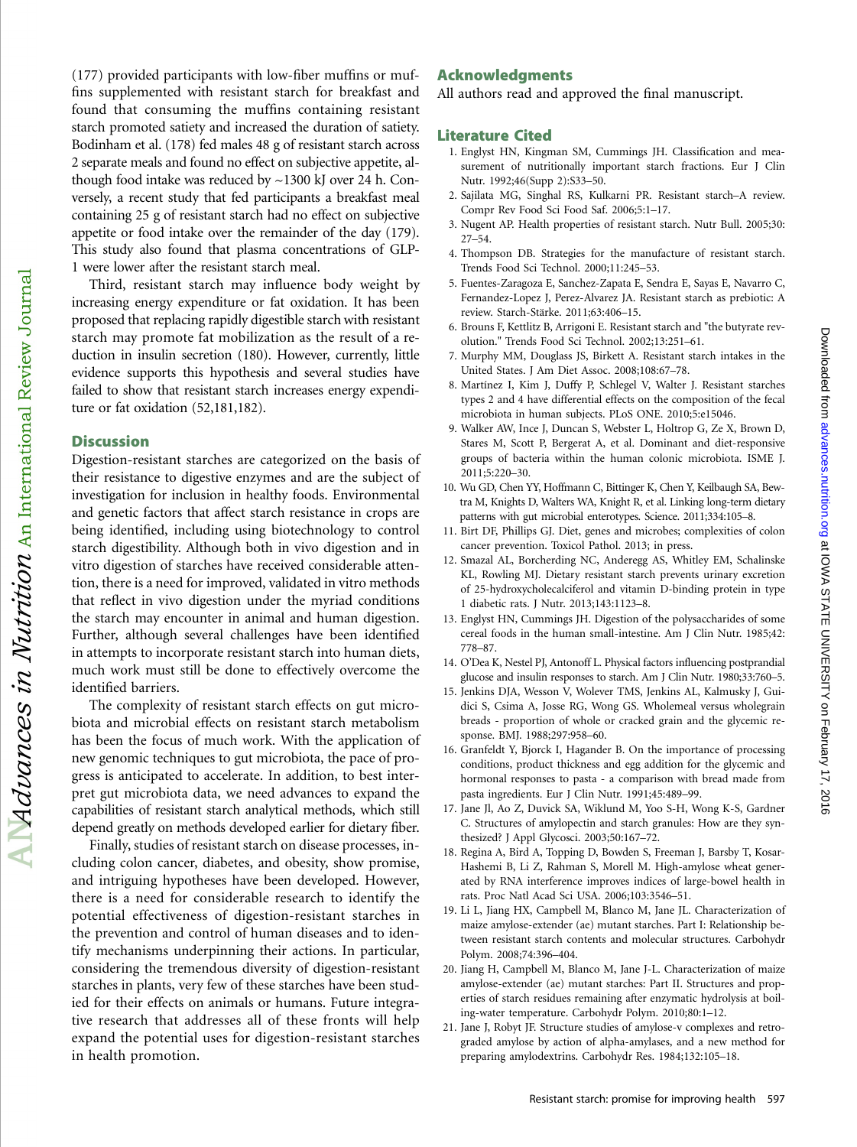(177) provided participants with low-fiber muffins or muffins supplemented with resistant starch for breakfast and found that consuming the muffins containing resistant starch promoted satiety and increased the duration of satiety. Bodinham et al. (178) fed males 48 g of resistant starch across 2 separate meals and found no effect on subjective appetite, although food intake was reduced by ~1300 kJ over 24 h. Conversely, a recent study that fed participants a breakfast meal containing 25 g of resistant starch had no effect on subjective appetite or food intake over the remainder of the day (179). This study also found that plasma concentrations of GLP-1 were lower after the resistant starch meal.

Third, resistant starch may influence body weight by increasing energy expenditure or fat oxidation. It has been proposed that replacing rapidly digestible starch with resistant starch may promote fat mobilization as the result of a reduction in insulin secretion (180). However, currently, little evidence supports this hypothesis and several studies have failed to show that resistant starch increases energy expenditure or fat oxidation (52,181,182).

## **Discussion**

 $\Box$ Advances in Nutrition  $_{\rm An\; International\; Review\; Journal}$ 

Digestion-resistant starches are categorized on the basis of their resistance to digestive enzymes and are the subject of investigation for inclusion in healthy foods. Environmental and genetic factors that affect starch resistance in crops are being identified, including using biotechnology to control starch digestibility. Although both in vivo digestion and in vitro digestion of starches have received considerable attention, there is a need for improved, validated in vitro methods that reflect in vivo digestion under the myriad conditions the starch may encounter in animal and human digestion. Further, although several challenges have been identified in attempts to incorporate resistant starch into human diets, much work must still be done to effectively overcome the identified barriers.

The complexity of resistant starch effects on gut microbiota and microbial effects on resistant starch metabolism has been the focus of much work. With the application of new genomic techniques to gut microbiota, the pace of progress is anticipated to accelerate. In addition, to best interpret gut microbiota data, we need advances to expand the capabilities of resistant starch analytical methods, which still depend greatly on methods developed earlier for dietary fiber.

Finally, studies of resistant starch on disease processes, including colon cancer, diabetes, and obesity, show promise, and intriguing hypotheses have been developed. However, there is a need for considerable research to identify the potential effectiveness of digestion-resistant starches in the prevention and control of human diseases and to identify mechanisms underpinning their actions. In particular, considering the tremendous diversity of digestion-resistant starches in plants, very few of these starches have been studied for their effects on animals or humans. Future integrative research that addresses all of these fronts will help expand the potential uses for digestion-resistant starches in health promotion.

## Acknowledgments

All authors read and approved the final manuscript.

#### Literature Cited

- 1. Englyst HN, Kingman SM, Cummings JH. Classification and measurement of nutritionally important starch fractions. Eur J Clin Nutr. 1992;46(Supp 2):S33–50.
- 2. Sajilata MG, Singhal RS, Kulkarni PR. Resistant starch–A review. Compr Rev Food Sci Food Saf. 2006;5:1–17.
- 3. Nugent AP. Health properties of resistant starch. Nutr Bull. 2005;30: 27–54.
- 4. Thompson DB. Strategies for the manufacture of resistant starch. Trends Food Sci Technol. 2000;11:245–53.
- 5. Fuentes-Zaragoza E, Sanchez-Zapata E, Sendra E, Sayas E, Navarro C, Fernandez-Lopez J, Perez-Alvarez JA. Resistant starch as prebiotic: A review. Starch-Stärke. 2011;63:406–15.
- 6. Brouns F, Kettlitz B, Arrigoni E. Resistant starch and "the butyrate revolution." Trends Food Sci Technol. 2002;13:251–61.
- 7. Murphy MM, Douglass JS, Birkett A. Resistant starch intakes in the United States. J Am Diet Assoc. 2008;108:67–78.
- 8. Martínez I, Kim J, Duffy P, Schlegel V, Walter J. Resistant starches types 2 and 4 have differential effects on the composition of the fecal microbiota in human subjects. PLoS ONE. 2010;5:e15046.
- 9. Walker AW, Ince J, Duncan S, Webster L, Holtrop G, Ze X, Brown D, Stares M, Scott P, Bergerat A, et al. Dominant and diet-responsive groups of bacteria within the human colonic microbiota. ISME J. 2011;5:220–30.
- 10. Wu GD, Chen YY, Hoffmann C, Bittinger K, Chen Y, Keilbaugh SA, Bewtra M, Knights D, Walters WA, Knight R, et al. Linking long-term dietary patterns with gut microbial enterotypes. Science. 2011;334:105–8.
- 11. Birt DF, Phillips GJ. Diet, genes and microbes; complexities of colon cancer prevention. Toxicol Pathol. 2013; in press.
- 12. Smazal AL, Borcherding NC, Anderegg AS, Whitley EM, Schalinske KL, Rowling MJ. Dietary resistant starch prevents urinary excretion of 25-hydroxycholecalciferol and vitamin D-binding protein in type 1 diabetic rats. J Nutr. 2013;143:1123–8.
- 13. Englyst HN, Cummings JH. Digestion of the polysaccharides of some cereal foods in the human small-intestine. Am J Clin Nutr. 1985;42: 778–87.
- 14. O'Dea K, Nestel PJ, Antonoff L. Physical factors influencing postprandial glucose and insulin responses to starch. Am J Clin Nutr. 1980;33:760–5.
- 15. Jenkins DJA, Wesson V, Wolever TMS, Jenkins AL, Kalmusky J, Guidici S, Csima A, Josse RG, Wong GS. Wholemeal versus wholegrain breads - proportion of whole or cracked grain and the glycemic response. BMJ. 1988;297:958–60.
- 16. Granfeldt Y, Bjorck I, Hagander B. On the importance of processing conditions, product thickness and egg addition for the glycemic and hormonal responses to pasta - a comparison with bread made from pasta ingredients. Eur J Clin Nutr. 1991;45:489–99.
- 17. Jane Jl, Ao Z, Duvick SA, Wiklund M, Yoo S-H, Wong K-S, Gardner C. Structures of amylopectin and starch granules: How are they synthesized? J Appl Glycosci. 2003;50:167–72.
- 18. Regina A, Bird A, Topping D, Bowden S, Freeman J, Barsby T, Kosar-Hashemi B, Li Z, Rahman S, Morell M. High-amylose wheat generated by RNA interference improves indices of large-bowel health in rats. Proc Natl Acad Sci USA. 2006;103:3546–51.
- 19. Li L, Jiang HX, Campbell M, Blanco M, Jane JL. Characterization of maize amylose-extender (ae) mutant starches. Part I: Relationship between resistant starch contents and molecular structures. Carbohydr Polym. 2008;74:396–404.
- 20. Jiang H, Campbell M, Blanco M, Jane J-L. Characterization of maize amylose-extender (ae) mutant starches: Part II. Structures and properties of starch residues remaining after enzymatic hydrolysis at boiling-water temperature. Carbohydr Polym. 2010;80:1–12.
- 21. Jane J, Robyt JF. Structure studies of amylose-v complexes and retrograded amylose by action of alpha-amylases, and a new method for preparing amylodextrins. Carbohydr Res. 1984;132:105–18.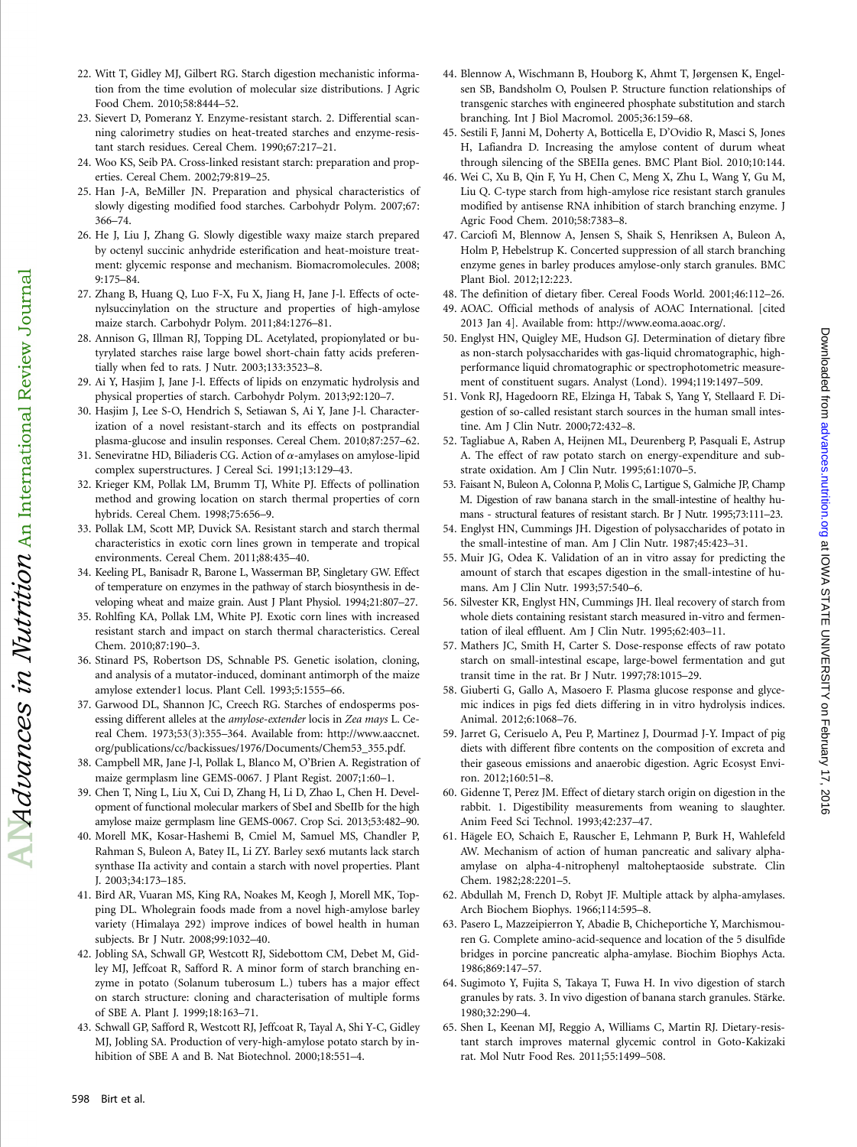- 22. Witt T, Gidley MJ, Gilbert RG. Starch digestion mechanistic information from the time evolution of molecular size distributions. J Agric Food Chem. 2010;58:8444–52.
- 23. Sievert D, Pomeranz Y. Enzyme-resistant starch. 2. Differential scanning calorimetry studies on heat-treated starches and enzyme-resistant starch residues. Cereal Chem. 1990;67:217–21.
- 24. Woo KS, Seib PA. Cross-linked resistant starch: preparation and properties. Cereal Chem. 2002;79:819–25.
- 25. Han J-A, BeMiller JN. Preparation and physical characteristics of slowly digesting modified food starches. Carbohydr Polym. 2007;67: 366–74.
- 26. He J, Liu J, Zhang G. Slowly digestible waxy maize starch prepared by octenyl succinic anhydride esterification and heat-moisture treatment: glycemic response and mechanism. Biomacromolecules. 2008; 9:175–84.
- 27. Zhang B, Huang Q, Luo F-X, Fu X, Jiang H, Jane J-l. Effects of octenylsuccinylation on the structure and properties of high-amylose maize starch. Carbohydr Polym. 2011;84:1276–81.
- 28. Annison G, Illman RJ, Topping DL. Acetylated, propionylated or butyrylated starches raise large bowel short-chain fatty acids preferentially when fed to rats. J Nutr. 2003;133:3523–8.
- 29. Ai Y, Hasjim J, Jane J-l. Effects of lipids on enzymatic hydrolysis and physical properties of starch. Carbohydr Polym. 2013;92:120–7.
- 30. Hasjim J, Lee S-O, Hendrich S, Setiawan S, Ai Y, Jane J-l. Characterization of a novel resistant-starch and its effects on postprandial plasma-glucose and insulin responses. Cereal Chem. 2010;87:257–62.
- 31. Seneviratne HD, Biliaderis CG. Action of  $\alpha$ -amylases on amylose-lipid complex superstructures. J Cereal Sci. 1991;13:129–43.
- 32. Krieger KM, Pollak LM, Brumm TJ, White PJ. Effects of pollination method and growing location on starch thermal properties of corn hybrids. Cereal Chem. 1998;75:656–9.
- 33. Pollak LM, Scott MP, Duvick SA. Resistant starch and starch thermal characteristics in exotic corn lines grown in temperate and tropical environments. Cereal Chem. 2011;88:435–40.
- 34. Keeling PL, Banisadr R, Barone L, Wasserman BP, Singletary GW. Effect of temperature on enzymes in the pathway of starch biosynthesis in developing wheat and maize grain. Aust J Plant Physiol. 1994;21:807–27.
- 35. Rohlfing KA, Pollak LM, White PJ. Exotic corn lines with increased resistant starch and impact on starch thermal characteristics. Cereal Chem. 2010;87:190–3.
- 36. Stinard PS, Robertson DS, Schnable PS. Genetic isolation, cloning, and analysis of a mutator-induced, dominant antimorph of the maize amylose extender1 locus. Plant Cell. 1993;5:1555–66.
- 37. Garwood DL, Shannon JC, Creech RG. Starches of endosperms posessing different alleles at the amylose-extender locis in Zea mays L. Cereal Chem. 1973;53(3):355–364. Available from: http://www.aaccnet. org/publications/cc/backissues/1976/Documents/Chem53\_355.pdf.
- 38. Campbell MR, Jane J-l, Pollak L, Blanco M, O'Brien A. Registration of maize germplasm line GEMS-0067. J Plant Regist. 2007;1:60–1.
- 39. Chen T, Ning L, Liu X, Cui D, Zhang H, Li D, Zhao L, Chen H. Development of functional molecular markers of SbeI and SbeIIb for the high amylose maize germplasm line GEMS-0067. Crop Sci. 2013;53:482–90.
- 40. Morell MK, Kosar-Hashemi B, Cmiel M, Samuel MS, Chandler P, Rahman S, Buleon A, Batey IL, Li ZY. Barley sex6 mutants lack starch synthase IIa activity and contain a starch with novel properties. Plant J. 2003;34:173–185.
- 41. Bird AR, Vuaran MS, King RA, Noakes M, Keogh J, Morell MK, Topping DL. Wholegrain foods made from a novel high-amylose barley variety (Himalaya 292) improve indices of bowel health in human subjects. Br J Nutr. 2008;99:1032–40.
- 42. Jobling SA, Schwall GP, Westcott RJ, Sidebottom CM, Debet M, Gidley MJ, Jeffcoat R, Safford R. A minor form of starch branching enzyme in potato (Solanum tuberosum L.) tubers has a major effect on starch structure: cloning and characterisation of multiple forms of SBE A. Plant J. 1999;18:163–71.
- 43. Schwall GP, Safford R, Westcott RJ, Jeffcoat R, Tayal A, Shi Y-C, Gidley MJ, Jobling SA. Production of very-high-amylose potato starch by inhibition of SBE A and B. Nat Biotechnol. 2000;18:551–4.
- 44. Blennow A, Wischmann B, Houborg K, Ahmt T, Jørgensen K, Engelsen SB, Bandsholm O, Poulsen P. Structure function relationships of transgenic starches with engineered phosphate substitution and starch branching. Int J Biol Macromol. 2005;36:159–68.
- 45. Sestili F, Janni M, Doherty A, Botticella E, D'Ovidio R, Masci S, Jones H, Lafiandra D. Increasing the amylose content of durum wheat through silencing of the SBEIIa genes. BMC Plant Biol. 2010;10:144.
- 46. Wei C, Xu B, Qin F, Yu H, Chen C, Meng X, Zhu L, Wang Y, Gu M, Liu Q. C-type starch from high-amylose rice resistant starch granules modified by antisense RNA inhibition of starch branching enzyme. J Agric Food Chem. 2010;58:7383–8.
- 47. Carciofi M, Blennow A, Jensen S, Shaik S, Henriksen A, Buleon A, Holm P, Hebelstrup K. Concerted suppression of all starch branching enzyme genes in barley produces amylose-only starch granules. BMC Plant Biol. 2012;12:223.
- 48. The definition of dietary fiber. Cereal Foods World. 2001;46:112–26.
- 49. AOAC. Official methods of analysis of AOAC International. [cited 2013 Jan 4]. Available from: http://www.eoma.aoac.org/.
- 50. Englyst HN, Quigley ME, Hudson GJ. Determination of dietary fibre as non-starch polysaccharides with gas-liquid chromatographic, highperformance liquid chromatographic or spectrophotometric measurement of constituent sugars. Analyst (Lond). 1994;119:1497–509.
- 51. Vonk RJ, Hagedoorn RE, Elzinga H, Tabak S, Yang Y, Stellaard F. Digestion of so-called resistant starch sources in the human small intestine. Am J Clin Nutr. 2000;72:432–8.
- 52. Tagliabue A, Raben A, Heijnen ML, Deurenberg P, Pasquali E, Astrup A. The effect of raw potato starch on energy-expenditure and substrate oxidation. Am J Clin Nutr. 1995;61:1070–5.
- 53. Faisant N, Buleon A, Colonna P, Molis C, Lartigue S, Galmiche JP, Champ M. Digestion of raw banana starch in the small-intestine of healthy humans - structural features of resistant starch. Br J Nutr. 1995;73:111–23.
- 54. Englyst HN, Cummings JH. Digestion of polysaccharides of potato in the small-intestine of man. Am J Clin Nutr. 1987;45:423–31.
- 55. Muir JG, Odea K. Validation of an in vitro assay for predicting the amount of starch that escapes digestion in the small-intestine of humans. Am J Clin Nutr. 1993;57:540–6.
- 56. Silvester KR, Englyst HN, Cummings JH. Ileal recovery of starch from whole diets containing resistant starch measured in-vitro and fermentation of ileal effluent. Am J Clin Nutr. 1995;62:403–11.
- 57. Mathers JC, Smith H, Carter S. Dose-response effects of raw potato starch on small-intestinal escape, large-bowel fermentation and gut transit time in the rat. Br J Nutr. 1997;78:1015–29.
- 58. Giuberti G, Gallo A, Masoero F. Plasma glucose response and glycemic indices in pigs fed diets differing in in vitro hydrolysis indices. Animal. 2012;6:1068–76.
- 59. Jarret G, Cerisuelo A, Peu P, Martinez J, Dourmad J-Y. Impact of pig diets with different fibre contents on the composition of excreta and their gaseous emissions and anaerobic digestion. Agric Ecosyst Environ. 2012;160:51–8.
- 60. Gidenne T, Perez JM. Effect of dietary starch origin on digestion in the rabbit. 1. Digestibility measurements from weaning to slaughter. Anim Feed Sci Technol. 1993;42:237–47.
- 61. Hägele EO, Schaich E, Rauscher E, Lehmann P, Burk H, Wahlefeld AW. Mechanism of action of human pancreatic and salivary alphaamylase on alpha-4-nitrophenyl maltoheptaoside substrate. Clin Chem. 1982;28:2201–5.
- 62. Abdullah M, French D, Robyt JF. Multiple attack by alpha-amylases. Arch Biochem Biophys. 1966;114:595–8.
- 63. Pasero L, Mazzeipierron Y, Abadie B, Chicheportiche Y, Marchismouren G. Complete amino-acid-sequence and location of the 5 disulfide bridges in porcine pancreatic alpha-amylase. Biochim Biophys Acta. 1986;869:147–57.
- 64. Sugimoto Y, Fujita S, Takaya T, Fuwa H. In vivo digestion of starch granules by rats. 3. In vivo digestion of banana starch granules. Stärke. 1980;32:290–4.
- 65. Shen L, Keenan MJ, Reggio A, Williams C, Martin RJ. Dietary-resistant starch improves maternal glycemic control in Goto-Kakizaki rat. Mol Nutr Food Res. 2011;55:1499–508.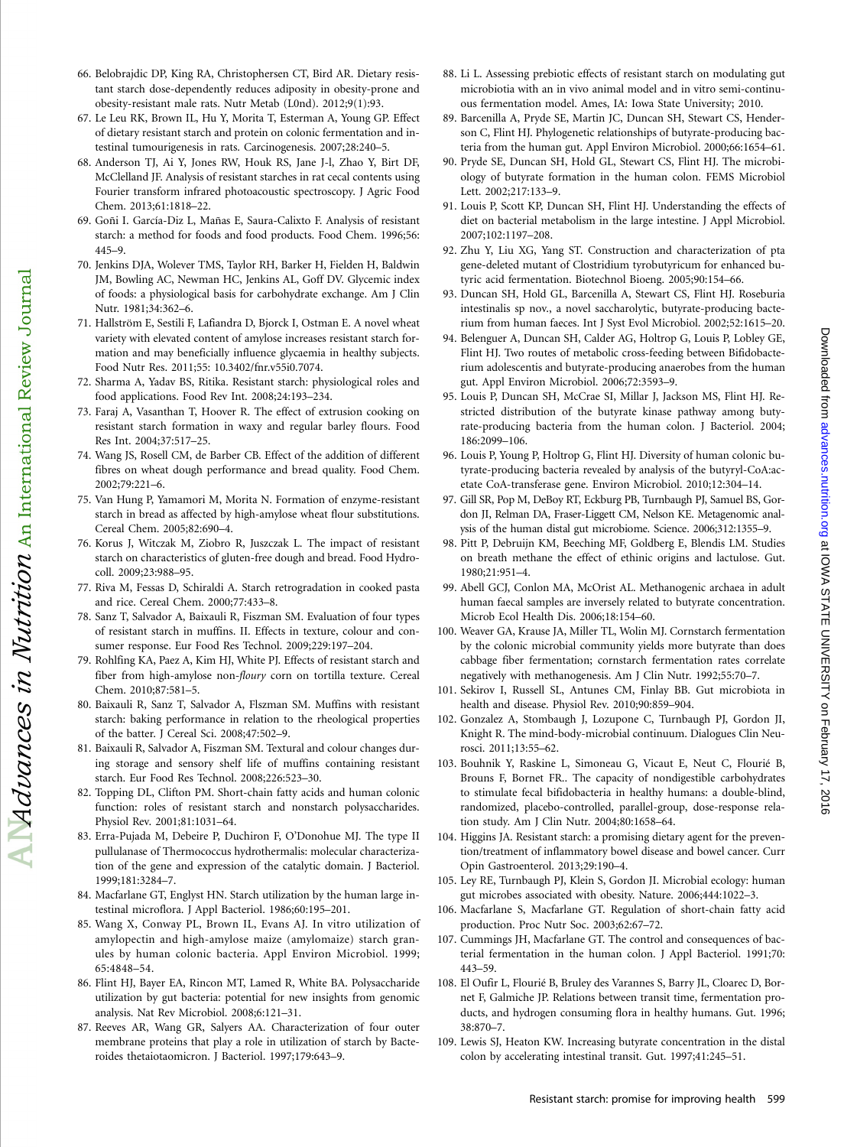- 66. Belobrajdic DP, King RA, Christophersen CT, Bird AR. Dietary resistant starch dose-dependently reduces adiposity in obesity-prone and obesity-resistant male rats. Nutr Metab (L0nd). 2012;9(1):93.
- 67. Le Leu RK, Brown IL, Hu Y, Morita T, Esterman A, Young GP. Effect of dietary resistant starch and protein on colonic fermentation and intestinal tumourigenesis in rats. Carcinogenesis. 2007;28:240–5.
- 68. Anderson TJ, Ai Y, Jones RW, Houk RS, Jane J-l, Zhao Y, Birt DF, McClelland JF. Analysis of resistant starches in rat cecal contents using Fourier transform infrared photoacoustic spectroscopy. J Agric Food Chem. 2013;61:1818–22.
- 69. Goñi I. García-Diz L, Mañas E, Saura-Calixto F. Analysis of resistant starch: a method for foods and food products. Food Chem. 1996;56: 445–9.
- 70. Jenkins DJA, Wolever TMS, Taylor RH, Barker H, Fielden H, Baldwin JM, Bowling AC, Newman HC, Jenkins AL, Goff DV. Glycemic index of foods: a physiological basis for carbohydrate exchange. Am J Clin Nutr. 1981;34:362–6.
- 71. Hallström E, Sestili F, Lafiandra D, Bjorck I, Ostman E. A novel wheat variety with elevated content of amylose increases resistant starch formation and may beneficially influence glycaemia in healthy subjects. Food Nutr Res. 2011;55: 10.3402/fnr.v55i0.7074.
- 72. Sharma A, Yadav BS, Ritika. Resistant starch: physiological roles and food applications. Food Rev Int. 2008;24:193–234.
- 73. Faraj A, Vasanthan T, Hoover R. The effect of extrusion cooking on resistant starch formation in waxy and regular barley flours. Food Res Int. 2004;37:517–25.
- 74. Wang JS, Rosell CM, de Barber CB. Effect of the addition of different fibres on wheat dough performance and bread quality. Food Chem. 2002;79:221–6.
- 75. Van Hung P, Yamamori M, Morita N. Formation of enzyme-resistant starch in bread as affected by high-amylose wheat flour substitutions. Cereal Chem. 2005;82:690–4.
- 76. Korus J, Witczak M, Ziobro R, Juszczak L. The impact of resistant starch on characteristics of gluten-free dough and bread. Food Hydrocoll. 2009;23:988–95.

 $\Box$ Advances in Nutrition  $_{\rm An\ International\ Review\ Journal}$ 

- 77. Riva M, Fessas D, Schiraldi A. Starch retrogradation in cooked pasta and rice. Cereal Chem. 2000;77:433–8.
- 78. Sanz T, Salvador A, Baixauli R, Fiszman SM. Evaluation of four types of resistant starch in muffins. II. Effects in texture, colour and consumer response. Eur Food Res Technol. 2009;229:197–204.
- 79. Rohlfing KA, Paez A, Kim HJ, White PJ. Effects of resistant starch and fiber from high-amylose non-floury corn on tortilla texture. Cereal Chem. 2010;87:581–5.
- 80. Baixauli R, Sanz T, Salvador A, Flszman SM. Muffins with resistant starch: baking performance in relation to the rheological properties of the batter. J Cereal Sci. 2008;47:502–9.
- 81. Baixauli R, Salvador A, Fiszman SM. Textural and colour changes during storage and sensory shelf life of muffins containing resistant starch. Eur Food Res Technol. 2008;226:523–30.
- 82. Topping DL, Clifton PM. Short-chain fatty acids and human colonic function: roles of resistant starch and nonstarch polysaccharides. Physiol Rev. 2001;81:1031–64.
- 83. Erra-Pujada M, Debeire P, Duchiron F, O'Donohue MJ. The type II pullulanase of Thermococcus hydrothermalis: molecular characterization of the gene and expression of the catalytic domain. J Bacteriol. 1999;181:3284–7.
- 84. Macfarlane GT, Englyst HN. Starch utilization by the human large intestinal microflora. J Appl Bacteriol. 1986;60:195–201.
- 85. Wang X, Conway PL, Brown IL, Evans AJ. In vitro utilization of amylopectin and high-amylose maize (amylomaize) starch granules by human colonic bacteria. Appl Environ Microbiol. 1999; 65:4848–54.
- 86. Flint HJ, Bayer EA, Rincon MT, Lamed R, White BA. Polysaccharide utilization by gut bacteria: potential for new insights from genomic analysis. Nat Rev Microbiol. 2008;6:121–31.
- 87. Reeves AR, Wang GR, Salyers AA. Characterization of four outer membrane proteins that play a role in utilization of starch by Bacteroides thetaiotaomicron. J Bacteriol. 1997;179:643–9.
- 88. Li L. Assessing prebiotic effects of resistant starch on modulating gut microbiotia with an in vivo animal model and in vitro semi-continuous fermentation model. Ames, IA: Iowa State University; 2010.
- 89. Barcenilla A, Pryde SE, Martin JC, Duncan SH, Stewart CS, Henderson C, Flint HJ. Phylogenetic relationships of butyrate-producing bacteria from the human gut. Appl Environ Microbiol. 2000;66:1654–61.
- 90. Pryde SE, Duncan SH, Hold GL, Stewart CS, Flint HJ. The microbiology of butyrate formation in the human colon. FEMS Microbiol Lett. 2002;217:133–9.
- 91. Louis P, Scott KP, Duncan SH, Flint HJ. Understanding the effects of diet on bacterial metabolism in the large intestine. J Appl Microbiol. 2007;102:1197–208.
- 92. Zhu Y, Liu XG, Yang ST. Construction and characterization of pta gene-deleted mutant of Clostridium tyrobutyricum for enhanced butyric acid fermentation. Biotechnol Bioeng. 2005;90:154–66.
- 93. Duncan SH, Hold GL, Barcenilla A, Stewart CS, Flint HJ. Roseburia intestinalis sp nov., a novel saccharolytic, butyrate-producing bacterium from human faeces. Int J Syst Evol Microbiol. 2002;52:1615–20.
- 94. Belenguer A, Duncan SH, Calder AG, Holtrop G, Louis P, Lobley GE, Flint HJ. Two routes of metabolic cross-feeding between Bifidobacterium adolescentis and butyrate-producing anaerobes from the human gut. Appl Environ Microbiol. 2006;72:3593–9.
- 95. Louis P, Duncan SH, McCrae SI, Millar J, Jackson MS, Flint HJ. Restricted distribution of the butyrate kinase pathway among butyrate-producing bacteria from the human colon. J Bacteriol. 2004; 186:2099–106.
- 96. Louis P, Young P, Holtrop G, Flint HJ. Diversity of human colonic butyrate-producing bacteria revealed by analysis of the butyryl-CoA:acetate CoA-transferase gene. Environ Microbiol. 2010;12:304–14.
- 97. Gill SR, Pop M, DeBoy RT, Eckburg PB, Turnbaugh PJ, Samuel BS, Gordon JI, Relman DA, Fraser-Liggett CM, Nelson KE. Metagenomic analysis of the human distal gut microbiome. Science. 2006;312:1355–9.
- 98. Pitt P, Debruijn KM, Beeching MF, Goldberg E, Blendis LM. Studies on breath methane the effect of ethinic origins and lactulose. Gut. 1980;21:951–4.
- 99. Abell GCJ, Conlon MA, McOrist AL. Methanogenic archaea in adult human faecal samples are inversely related to butyrate concentration. Microb Ecol Health Dis. 2006;18:154–60.
- 100. Weaver GA, Krause JA, Miller TL, Wolin MJ. Cornstarch fermentation by the colonic microbial community yields more butyrate than does cabbage fiber fermentation; cornstarch fermentation rates correlate negatively with methanogenesis. Am J Clin Nutr. 1992;55:70–7.
- 101. Sekirov I, Russell SL, Antunes CM, Finlay BB. Gut microbiota in health and disease. Physiol Rev. 2010;90:859–904.
- 102. Gonzalez A, Stombaugh J, Lozupone C, Turnbaugh PJ, Gordon JI, Knight R. The mind-body-microbial continuum. Dialogues Clin Neurosci. 2011;13:55–62.
- 103. Bouhnik Y, Raskine L, Simoneau G, Vicaut E, Neut C, Flourié B, Brouns F, Bornet FR.. The capacity of nondigestible carbohydrates to stimulate fecal bifidobacteria in healthy humans: a double-blind, randomized, placebo-controlled, parallel-group, dose-response relation study. Am J Clin Nutr. 2004;80:1658–64.
- 104. Higgins JA. Resistant starch: a promising dietary agent for the prevention/treatment of inflammatory bowel disease and bowel cancer. Curr Opin Gastroenterol. 2013;29:190–4.
- 105. Ley RE, Turnbaugh PJ, Klein S, Gordon JI. Microbial ecology: human gut microbes associated with obesity. Nature. 2006;444:1022–3.
- 106. Macfarlane S, Macfarlane GT. Regulation of short-chain fatty acid production. Proc Nutr Soc. 2003;62:67–72.
- 107. Cummings JH, Macfarlane GT. The control and consequences of bacterial fermentation in the human colon. J Appl Bacteriol. 1991;70: 443–59.
- 108. El Oufir L, Flourié B, Bruley des Varannes S, Barry JL, Cloarec D, Bornet F, Galmiche JP. Relations between transit time, fermentation products, and hydrogen consuming flora in healthy humans. Gut. 1996; 38:870–7.
- 109. Lewis SJ, Heaton KW. Increasing butyrate concentration in the distal colon by accelerating intestinal transit. Gut. 1997;41:245–51.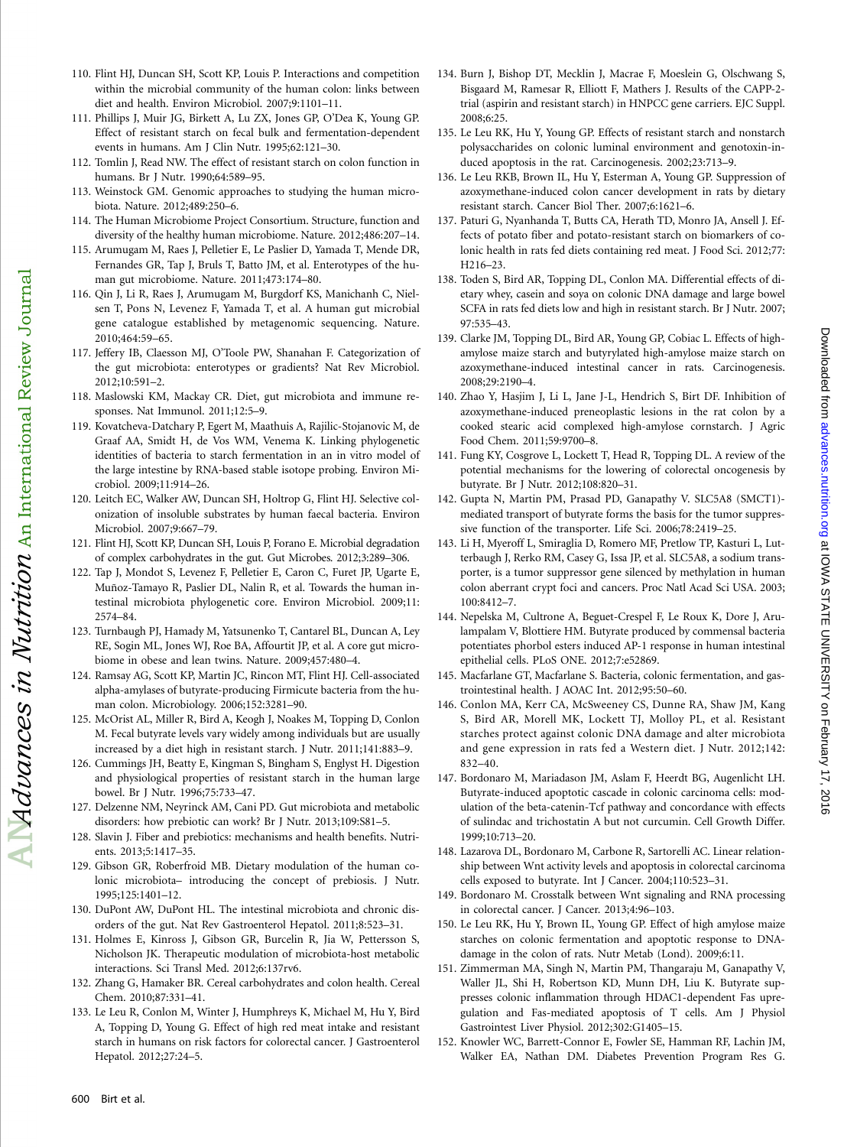- 110. Flint HJ, Duncan SH, Scott KP, Louis P. Interactions and competition within the microbial community of the human colon: links between diet and health. Environ Microbiol. 2007;9:1101–11.
- 111. Phillips J, Muir JG, Birkett A, Lu ZX, Jones GP, O'Dea K, Young GP. Effect of resistant starch on fecal bulk and fermentation-dependent events in humans. Am J Clin Nutr. 1995;62:121–30.
- 112. Tomlin J, Read NW. The effect of resistant starch on colon function in humans. Br J Nutr. 1990;64:589–95.
- 113. Weinstock GM. Genomic approaches to studying the human microbiota. Nature. 2012;489:250–6.
- 114. The Human Microbiome Project Consortium. Structure, function and diversity of the healthy human microbiome. Nature. 2012;486:207–14.
- 115. Arumugam M, Raes J, Pelletier E, Le Paslier D, Yamada T, Mende DR, Fernandes GR, Tap J, Bruls T, Batto JM, et al. Enterotypes of the human gut microbiome. Nature. 2011;473:174–80.
- 116. Qin J, Li R, Raes J, Arumugam M, Burgdorf KS, Manichanh C, Nielsen T, Pons N, Levenez F, Yamada T, et al. A human gut microbial gene catalogue established by metagenomic sequencing. Nature. 2010;464:59–65.
- 117. Jeffery IB, Claesson MJ, O'Toole PW, Shanahan F. Categorization of the gut microbiota: enterotypes or gradients? Nat Rev Microbiol. 2012;10:591–2.
- 118. Maslowski KM, Mackay CR. Diet, gut microbiota and immune responses. Nat Immunol. 2011;12:5–9.
- 119. Kovatcheva-Datchary P, Egert M, Maathuis A, Rajilic-Stojanovic M, de Graaf AA, Smidt H, de Vos WM, Venema K. Linking phylogenetic identities of bacteria to starch fermentation in an in vitro model of the large intestine by RNA-based stable isotope probing. Environ Microbiol. 2009;11:914–26.
- 120. Leitch EC, Walker AW, Duncan SH, Holtrop G, Flint HJ. Selective colonization of insoluble substrates by human faecal bacteria. Environ Microbiol. 2007;9:667–79.
- 121. Flint HJ, Scott KP, Duncan SH, Louis P, Forano E. Microbial degradation of complex carbohydrates in the gut. Gut Microbes. 2012;3:289–306.
- 122. Tap J, Mondot S, Levenez F, Pelletier E, Caron C, Furet JP, Ugarte E, Muñoz-Tamayo R, Paslier DL, Nalin R, et al. Towards the human intestinal microbiota phylogenetic core. Environ Microbiol. 2009;11: 2574–84.
- 123. Turnbaugh PJ, Hamady M, Yatsunenko T, Cantarel BL, Duncan A, Ley RE, Sogin ML, Jones WJ, Roe BA, Affourtit JP, et al. A core gut microbiome in obese and lean twins. Nature. 2009;457:480–4.
- 124. Ramsay AG, Scott KP, Martin JC, Rincon MT, Flint HJ. Cell-associated alpha-amylases of butyrate-producing Firmicute bacteria from the human colon. Microbiology. 2006;152:3281–90.
- 125. McOrist AL, Miller R, Bird A, Keogh J, Noakes M, Topping D, Conlon M. Fecal butyrate levels vary widely among individuals but are usually increased by a diet high in resistant starch. J Nutr. 2011;141:883–9.
- 126. Cummings JH, Beatty E, Kingman S, Bingham S, Englyst H. Digestion and physiological properties of resistant starch in the human large bowel. Br J Nutr. 1996;75:733–47.
- 127. Delzenne NM, Neyrinck AM, Cani PD. Gut microbiota and metabolic disorders: how prebiotic can work? Br J Nutr. 2013;109:S81–5.
- 128. Slavin J. Fiber and prebiotics: mechanisms and health benefits. Nutrients. 2013;5:1417–35.
- 129. Gibson GR, Roberfroid MB. Dietary modulation of the human colonic microbiota– introducing the concept of prebiosis. J Nutr. 1995;125:1401–12.
- 130. DuPont AW, DuPont HL. The intestinal microbiota and chronic disorders of the gut. Nat Rev Gastroenterol Hepatol. 2011;8:523–31.
- 131. Holmes E, Kinross J, Gibson GR, Burcelin R, Jia W, Pettersson S, Nicholson JK. Therapeutic modulation of microbiota-host metabolic interactions. Sci Transl Med. 2012;6:137rv6.
- 132. Zhang G, Hamaker BR. Cereal carbohydrates and colon health. Cereal Chem. 2010;87:331–41.
- 133. Le Leu R, Conlon M, Winter J, Humphreys K, Michael M, Hu Y, Bird A, Topping D, Young G. Effect of high red meat intake and resistant starch in humans on risk factors for colorectal cancer. J Gastroenterol Hepatol. 2012;27:24–5.
- 134. Burn J, Bishop DT, Mecklin J, Macrae F, Moeslein G, Olschwang S, Bisgaard M, Ramesar R, Elliott F, Mathers J. Results of the CAPP-2 trial (aspirin and resistant starch) in HNPCC gene carriers. EJC Suppl. 2008;6:25.
- 135. Le Leu RK, Hu Y, Young GP. Effects of resistant starch and nonstarch polysaccharides on colonic luminal environment and genotoxin-induced apoptosis in the rat. Carcinogenesis. 2002;23:713–9.
- 136. Le Leu RKB, Brown IL, Hu Y, Esterman A, Young GP. Suppression of azoxymethane-induced colon cancer development in rats by dietary resistant starch. Cancer Biol Ther. 2007;6:1621–6.
- 137. Paturi G, Nyanhanda T, Butts CA, Herath TD, Monro JA, Ansell J. Effects of potato fiber and potato-resistant starch on biomarkers of colonic health in rats fed diets containing red meat. J Food Sci. 2012;77: H216–23.
- 138. Toden S, Bird AR, Topping DL, Conlon MA. Differential effects of dietary whey, casein and soya on colonic DNA damage and large bowel SCFA in rats fed diets low and high in resistant starch. Br J Nutr. 2007; 97:535–43.
- 139. Clarke JM, Topping DL, Bird AR, Young GP, Cobiac L. Effects of highamylose maize starch and butyrylated high-amylose maize starch on azoxymethane-induced intestinal cancer in rats. Carcinogenesis. 2008;29:2190–4.
- 140. Zhao Y, Hasjim J, Li L, Jane J-L, Hendrich S, Birt DF. Inhibition of azoxymethane-induced preneoplastic lesions in the rat colon by a cooked stearic acid complexed high-amylose cornstarch. J Agric Food Chem. 2011;59:9700–8.
- 141. Fung KY, Cosgrove L, Lockett T, Head R, Topping DL. A review of the potential mechanisms for the lowering of colorectal oncogenesis by butyrate. Br J Nutr. 2012;108:820–31.
- 142. Gupta N, Martin PM, Prasad PD, Ganapathy V. SLC5A8 (SMCT1) mediated transport of butyrate forms the basis for the tumor suppressive function of the transporter. Life Sci. 2006;78:2419–25.
- 143. Li H, Myeroff L, Smiraglia D, Romero MF, Pretlow TP, Kasturi L, Lutterbaugh J, Rerko RM, Casey G, Issa JP, et al. SLC5A8, a sodium transporter, is a tumor suppressor gene silenced by methylation in human colon aberrant crypt foci and cancers. Proc Natl Acad Sci USA. 2003; 100:8412–7.
- 144. Nepelska M, Cultrone A, Beguet-Crespel F, Le Roux K, Dore J, Arulampalam V, Blottiere HM. Butyrate produced by commensal bacteria potentiates phorbol esters induced AP-1 response in human intestinal epithelial cells. PLoS ONE. 2012;7:e52869.
- 145. Macfarlane GT, Macfarlane S. Bacteria, colonic fermentation, and gastrointestinal health. J AOAC Int. 2012;95:50–60.
- 146. Conlon MA, Kerr CA, McSweeney CS, Dunne RA, Shaw JM, Kang S, Bird AR, Morell MK, Lockett TJ, Molloy PL, et al. Resistant starches protect against colonic DNA damage and alter microbiota and gene expression in rats fed a Western diet. J Nutr. 2012;142: 832–40.
- 147. Bordonaro M, Mariadason JM, Aslam F, Heerdt BG, Augenlicht LH. Butyrate-induced apoptotic cascade in colonic carcinoma cells: modulation of the beta-catenin-Tcf pathway and concordance with effects of sulindac and trichostatin A but not curcumin. Cell Growth Differ. 1999;10:713–20.
- 148. Lazarova DL, Bordonaro M, Carbone R, Sartorelli AC. Linear relationship between Wnt activity levels and apoptosis in colorectal carcinoma cells exposed to butyrate. Int J Cancer. 2004;110:523–31.
- 149. Bordonaro M. Crosstalk between Wnt signaling and RNA processing in colorectal cancer. J Cancer. 2013;4:96–103.
- 150. Le Leu RK, Hu Y, Brown IL, Young GP. Effect of high amylose maize starches on colonic fermentation and apoptotic response to DNAdamage in the colon of rats. Nutr Metab (Lond). 2009;6:11.
- 151. Zimmerman MA, Singh N, Martin PM, Thangaraju M, Ganapathy V, Waller JL, Shi H, Robertson KD, Munn DH, Liu K. Butyrate suppresses colonic inflammation through HDAC1-dependent Fas upregulation and Fas-mediated apoptosis of T cells. Am J Physiol Gastrointest Liver Physiol. 2012;302:G1405–15.
- 152. Knowler WC, Barrett-Connor E, Fowler SE, Hamman RF, Lachin JM, Walker EA, Nathan DM. Diabetes Prevention Program Res G.

 $\overline{M}$ dvances in Nutrition  $\overline{\Lambda}$ n International Review Journal